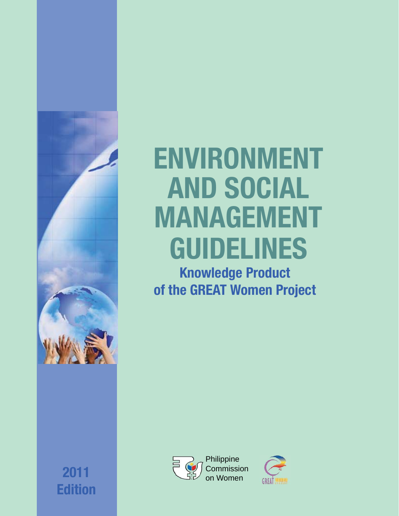

# **ENVIRONMENT AND SOCIAL MANAGEMENT GUIDELINES**

**Knowledge Product of the GREAT Women Project**





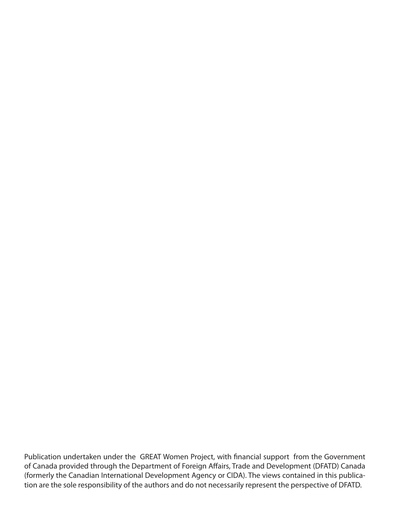Publication undertaken under the GREAT Women Project, with financial support from the Government of Canada provided through the Department of Foreign Affairs, Trade and Development (DFATD) Canada (formerly the Canadian International Development Agency or CIDA). The views contained in this publication are the sole responsibility of the authors and do not necessarily represent the perspective of DFATD.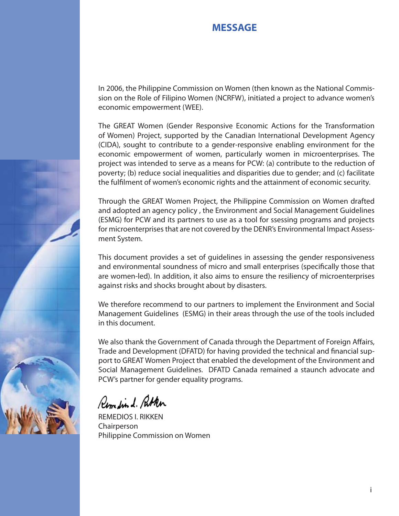#### **MESSAGE**

In 2006, the Philippine Commission on Women (then known as the National Commission on the Role of Filipino Women (NCRFW), initiated a project to advance women's economic empowerment (WEE).

The GREAT Women (Gender Responsive Economic Actions for the Transformation of Women) Project, supported by the Canadian International Development Agency (CIDA), sought to contribute to a gender-responsive enabling environment for the economic empowerment of women, particularly women in microenterprises. The project was intended to serve as a means for PCW: (a) contribute to the reduction of poverty; (b) reduce social inequalities and disparities due to gender; and (c) facilitate the fulfilment of women's economic rights and the attainment of economic security.

Through the GREAT Women Project, the Philippine Commission on Women drafted and adopted an agency policy , the Environment and Social Management Guidelines (ESMG) for PCW and its partners to use as a tool for ssessing programs and projects for microenterprises that are not covered by the DENR's Environmental Impact Assessment System.

This document provides a set of guidelines in assessing the gender responsiveness and environmental soundness of micro and small enterprises (specifically those that are women-led). In addition, it also aims to ensure the resiliency of microenterprises against risks and shocks brought about by disasters.

We therefore recommend to our partners to implement the Environment and Social Management Guidelines (ESMG) in their areas through the use of the tools included in this document.

We also thank the Government of Canada through the Department of Foreign Affairs, Trade and Development (DFATD) for having provided the technical and financial support to GREAT Women Project that enabled the development of the Environment and Social Management Guidelines. DFATD Canada remained a staunch advocate and PCW's partner for gender equality programs.

Remediend. Pather

REMEDIOS I. RIKKEN Chairperson Philippine Commission on Women

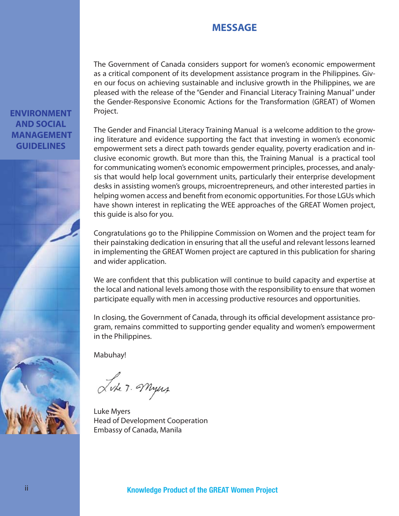#### **MESSAGE**

The Government of Canada considers support for women's economic empowerment as a critical component of its development assistance program in the Philippines. Given our focus on achieving sustainable and inclusive growth in the Philippines, we are pleased with the release of the "Gender and Financial Literacy Training Manual" under the Gender-Responsive Economic Actions for the Transformation (GREAT) of Women Project.

The Gender and Financial Literacy Training Manual is a welcome addition to the growing literature and evidence supporting the fact that investing in women's economic empowerment sets a direct path towards gender equality, poverty eradication and inclusive economic growth. But more than this, the Training Manual is a practical tool for communicating women's economic empowerment principles, processes, and analysis that would help local government units, particularly their enterprise development desks in assisting women's groups, microentrepreneurs, and other interested parties in helping women access and benefit from economic opportunities. For those LGUs which have shown interest in replicating the WEE approaches of the GREAT Women project, this guide is also for you.

Congratulations go to the Philippine Commission on Women and the project team for their painstaking dedication in ensuring that all the useful and relevant lessons learned in implementing the GREAT Women project are captured in this publication for sharing and wider application.

We are confident that this publication will continue to build capacity and expertise at the local and national levels among those with the responsibility to ensure that women participate equally with men in accessing productive resources and opportunities.

In closing, the Government of Canada, through its official development assistance program, remains committed to supporting gender equality and women's empowerment in the Philippines.

Mabuhay!

Like 7. Myers

Luke Myers Head of Development Cooperation Embassy of Canada, Manila

#### **ENVIRONMENT AND SOCIAL MANAGEMENT GUIDELINES**

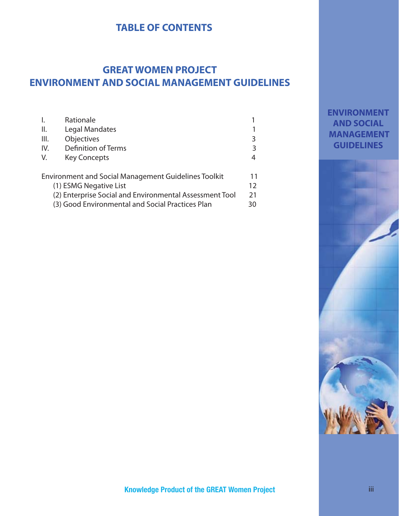#### **TABLE OF CONTENTS**

### **GREAT WOMEN PROJECT ENVIRONMENT AND SOCIAL MANAGEMENT GUIDELINES**

|                                                                   | Rationale                  |   |
|-------------------------------------------------------------------|----------------------------|---|
| Ⅱ.                                                                | Legal Mandates             |   |
| III.                                                              | Objectives                 | 3 |
| IV.                                                               | <b>Definition of Terms</b> | 3 |
| V.                                                                | <b>Key Concepts</b>        | 4 |
|                                                                   |                            |   |
| <b>Environment and Social Management Guidelines Toolkit</b><br>11 |                            |   |
| (1) ESMG Negative List                                            |                            |   |
| (2) Enterprise Social and Environmental Assessment Tool<br>21     |                            |   |
| (3) Good Environmental and Social Practices Plan                  |                            |   |

#### **ENVIRONMENT AND SOCIAL MANAGEMENT GUIDELINES**

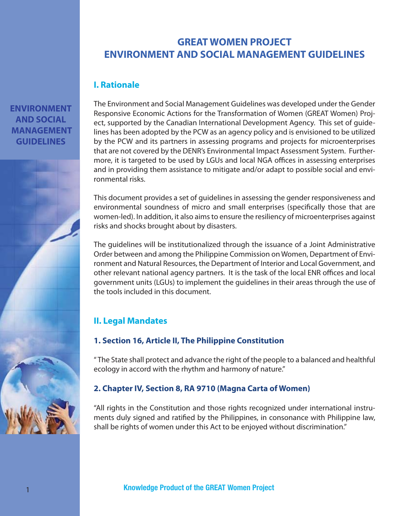### **GREAT WOMEN PROJECT ENVIRONMENT AND SOCIAL MANAGEMENT GUIDELINES**

#### **I. Rationale**

**ENVIRONMENT AND SOCIAL MANAGEMENT GUIDELINES**



The Environment and Social Management Guidelines was developed under the Gender Responsive Economic Actions for the Transformation of Women (GREAT Women) Project, supported by the Canadian International Development Agency. This set of guidelines has been adopted by the PCW as an agency policy and is envisioned to be utilized by the PCW and its partners in assessing programs and projects for microenterprises that are not covered by the DENR's Environmental Impact Assessment System. Furthermore, it is targeted to be used by LGUs and local NGA offices in assessing enterprises and in providing them assistance to mitigate and/or adapt to possible social and environmental risks.

This document provides a set of guidelines in assessing the gender responsiveness and environmental soundness of micro and small enterprises (specifically those that are women-led). In addition, it also aims to ensure the resiliency of microenterprises against risks and shocks brought about by disasters.

The guidelines will be institutionalized through the issuance of a Joint Administrative Order between and among the Philippine Commission on Women, Department of Environment and Natural Resources, the Department of Interior and Local Government, and other relevant national agency partners. It is the task of the local ENR offices and local government units (LGUs) to implement the guidelines in their areas through the use of the tools included in this document.

#### **II. Legal Mandates**

#### **1. Section 16, Article II, The Philippine Constitution**

" The State shall protect and advance the right of the people to a balanced and healthful ecology in accord with the rhythm and harmony of nature."

#### **2. Chapter IV, Section 8, RA 9710 (Magna Carta of Women)**

"All rights in the Constitution and those rights recognized under international instruments duly signed and ratified by the Philippines, in consonance with Philippine law, shall be rights of women under this Act to be enjoyed without discrimination."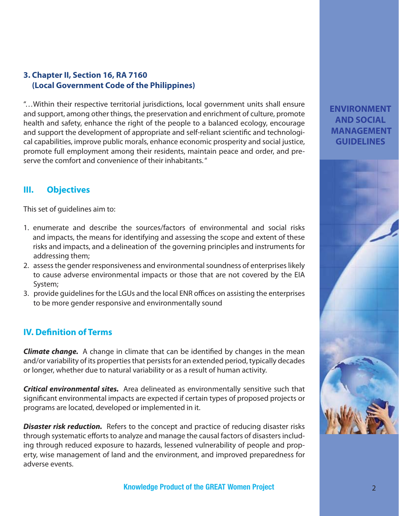#### **3. Chapter II, Section 16, RA 7160 (Local Government Code of the Philippines)**

"…Within their respective territorial jurisdictions, local government units shall ensure and support, among other things, the preservation and enrichment of culture, promote health and safety, enhance the right of the people to a balanced ecology, encourage and support the development of appropriate and self-reliant scientific and technological capabilities, improve public morals, enhance economic prosperity and social justice, promote full employment among their residents, maintain peace and order, and preserve the comfort and convenience of their inhabitants. "

#### **III. Objectives**

This set of guidelines aim to:

- 1. enumerate and describe the sources/factors of environmental and social risks and impacts, the means for identifying and assessing the scope and extent of these risks and impacts, and a delineation of the governing principles and instruments for addressing them;
- 2. assess the gender responsiveness and environmental soundness of enterprises likely to cause adverse environmental impacts or those that are not covered by the EIA System;
- 3. provide guidelines for the LGUs and the local ENR offices on assisting the enterprises to be more gender responsive and environmentally sound

#### **IV. Definition of Terms**

**Climate change.** A change in climate that can be identified by changes in the mean and/or variability of its properties that persists for an extended period, typically decades or longer, whether due to natural variability or as a result of human activity.

*Critical environmental sites.* Area delineated as environmentally sensitive such that significant environmental impacts are expected if certain types of proposed projects or programs are located, developed or implemented in it.

**Disaster risk reduction.** Refers to the concept and practice of reducing disaster risks through systematic efforts to analyze and manage the causal factors of disasters including through reduced exposure to hazards, lessened vulnerability of people and property, wise management of land and the environment, and improved preparedness for adverse events.

#### **ENVIRONMENT AND SOCIAL MANAGEMENT GUIDELINES**

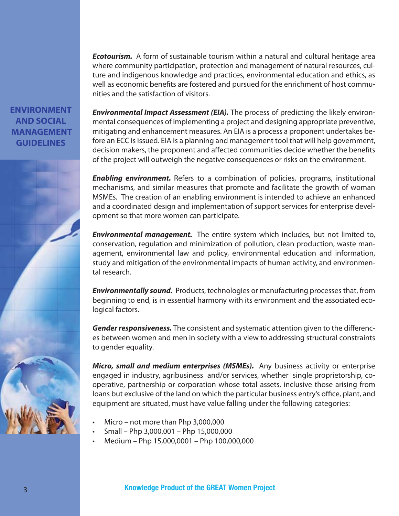*Ecotourism.* A form of sustainable tourism within a natural and cultural heritage area where community participation, protection and management of natural resources, culture and indigenous knowledge and practices, environmental education and ethics, as well as economic benefits are fostered and pursued for the enrichment of host communities and the satisfaction of visitors.

#### **ENVIRONMENT AND SOCIAL MANAGEMENT GUIDELINES**



*Environmental Impact Assessment (EIA).* The process of predicting the likely environmental consequences of implementing a project and designing appropriate preventive, mitigating and enhancement measures. An EIA is a process a proponent undertakes before an ECC is issued. EIA is a planning and management tool that will help government, decision makers, the proponent and affected communities decide whether the benefits of the project will outweigh the negative consequences or risks on the environment.

**Enabling environment.** Refers to a combination of policies, programs, institutional mechanisms, and similar measures that promote and facilitate the growth of woman MSMEs. The creation of an enabling environment is intended to achieve an enhanced and a coordinated design and implementation of support services for enterprise development so that more women can participate.

*Environmental management.* The entire system which includes, but not limited to, conservation, regulation and minimization of pollution, clean production, waste management, environmental law and policy, environmental education and information, study and mitigation of the environmental impacts of human activity, and environmental research.

*Environmentally sound.* Products, technologies or manufacturing processes that, from beginning to end, is in essential harmony with its environment and the associated ecological factors.

**Gender responsiveness.** The consistent and systematic attention given to the differences between women and men in society with a view to addressing structural constraints to gender equality.

*Micro, small and medium enterprises (MSMEs).* Any business activity or enterprise engaged in industry, agribusiness and/or services, whether single proprietorship, cooperative, partnership or corporation whose total assets, inclusive those arising from loans but exclusive of the land on which the particular business entry's office, plant, and equipment are situated, must have value falling under the following categories:

- Micro not more than Php 3,000,000
- Small Php 3,000,001 Php 15,000,000
- Medium Php 15,000,0001 Php 100,000,000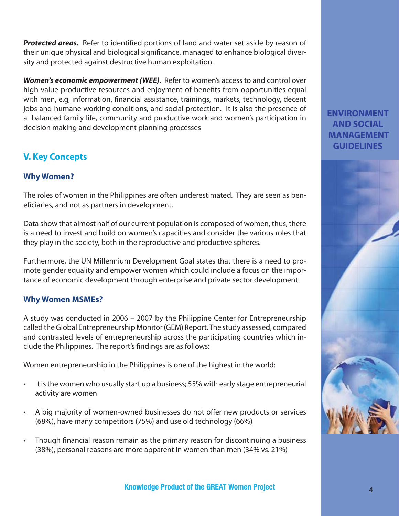**Protected areas.** Refer to identified portions of land and water set aside by reason of their unique physical and biological significance, managed to enhance biological diversity and protected against destructive human exploitation.

*Women's economic empowerment (WEE).* Refer to women's access to and control over high value productive resources and enjoyment of benefits from opportunities equal with men, e.g, information, financial assistance, trainings, markets, technology, decent jobs and humane working conditions, and social protection. It is also the presence of a balanced family life, community and productive work and women's participation in decision making and development planning processes

#### **V. Key Concepts**

#### **Why Women?**

The roles of women in the Philippines are often underestimated. They are seen as beneficiaries, and not as partners in development.

Data show that almost half of our current population is composed of women, thus, there is a need to invest and build on women's capacities and consider the various roles that they play in the society, both in the reproductive and productive spheres.

Furthermore, the UN Millennium Development Goal states that there is a need to promote gender equality and empower women which could include a focus on the importance of economic development through enterprise and private sector development.

#### **Why Women MSMEs?**

A study was conducted in 2006 – 2007 by the Philippine Center for Entrepreneurship called the Global Entrepreneurship Monitor (GEM) Report. The study assessed, compared and contrasted levels of entrepreneurship across the participating countries which include the Philippines. The report's findings are as follows:

Women entrepreneurship in the Philippines is one of the highest in the world:

- It is the women who usually start up a business; 55% with early stage entrepreneurial activity are women
- A big majority of women-owned businesses do not offer new products or services (68%), have many competitors (75%) and use old technology (66%)
- Though financial reason remain as the primary reason for discontinuing a business (38%), personal reasons are more apparent in women than men (34% vs. 21%)

#### **ENVIRONMENT AND SOCIAL MANAGEMENT GUIDELINES**

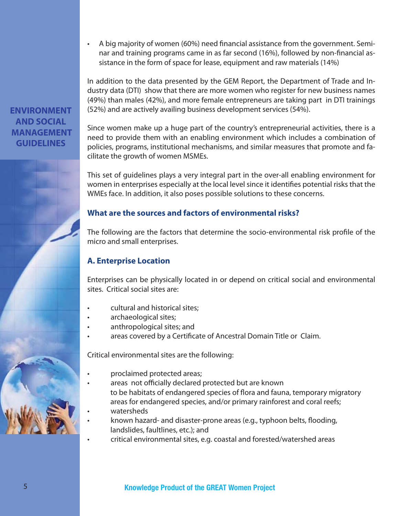• A big majority of women (60%) need financial assistance from the government. Seminar and training programs came in as far second (16%), followed by non-financial assistance in the form of space for lease, equipment and raw materials (14%)

In addition to the data presented by the GEM Report, the Department of Trade and Industry data (DTI) show that there are more women who register for new business names (49%) than males (42%), and more female entrepreneurs are taking part in DTI trainings (52%) and are actively availing business development services (54%).

Since women make up a huge part of the country's entrepreneurial activities, there is a need to provide them with an enabling environment which includes a combination of policies, programs, institutional mechanisms, and similar measures that promote and fa-

#### **ENVIRONMENT AND SOCIAL MANAGEMENT GUIDELINES**

This set of guidelines plays a very integral part in the over-all enabling environment for women in enterprises especially at the local level since it identifies potential risks that the WMEs face. In addition, it also poses possible solutions to these concerns.

#### **What are the sources and factors of environmental risks?**

The following are the factors that determine the socio-environmental risk profile of the micro and small enterprises.

#### **A. Enterprise Location**

Enterprises can be physically located in or depend on critical social and environmental sites. Critical social sites are:

• cultural and historical sites;

cilitate the growth of women MSMEs.

- archaeological sites;
- anthropological sites; and
- areas covered by a Certificate of Ancestral Domain Title or Claim.

Critical environmental sites are the following:

- proclaimed protected areas;
- areas not officially declared protected but are known to be habitats of endangered species of flora and fauna, temporary migratory areas for endangered species, and/or primary rainforest and coral reefs;
- watersheds
- known hazard- and disaster-prone areas (e.g., typhoon belts, flooding, landslides, faultlines, etc.); and
- critical environmental sites, e.g. coastal and forested/watershed areas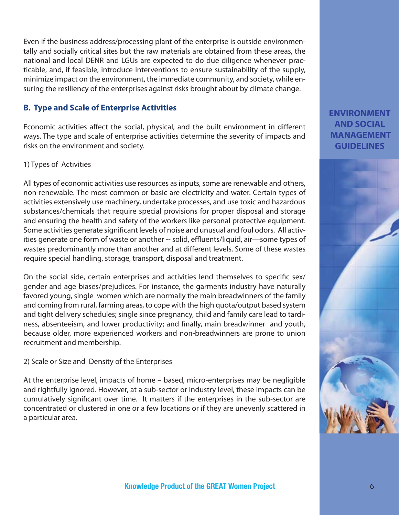Even if the business address/processing plant of the enterprise is outside environmentally and socially critical sites but the raw materials are obtained from these areas, the national and local DENR and LGUs are expected to do due diligence whenever practicable, and, if feasible, introduce interventions to ensure sustainability of the supply, minimize impact on the environment, the immediate community, and society, while ensuring the resiliency of the enterprises against risks brought about by climate change.

#### **B. Type and Scale of Enterprise Activities**

Economic activities affect the social, physical, and the built environment in different ways. The type and scale of enterprise activities determine the severity of impacts and risks on the environment and society.

#### 1) Types of Activities

All types of economic activities use resources as inputs, some are renewable and others, non-renewable. The most common or basic are electricity and water. Certain types of activities extensively use machinery, undertake processes, and use toxic and hazardous substances/chemicals that require special provisions for proper disposal and storage and ensuring the health and safety of the workers like personal protective equipment. Some activities generate significant levels of noise and unusual and foul odors. All activities generate one form of waste or another -- solid, effluents/liquid, air—some types of wastes predominantly more than another and at different levels. Some of these wastes require special handling, storage, transport, disposal and treatment.

On the social side, certain enterprises and activities lend themselves to specific sex/ gender and age biases/prejudices. For instance, the garments industry have naturally favored young, single women which are normally the main breadwinners of the family and coming from rural, farming areas, to cope with the high quota/output based system and tight delivery schedules; single since pregnancy, child and family care lead to tardiness, absenteeism, and lower productivity; and finally, main breadwinner and youth, because older, more experienced workers and non-breadwinners are prone to union recruitment and membership.

2) Scale or Size and Density of the Enterprises

At the enterprise level, impacts of home – based, micro-enterprises may be negligible and rightfully ignored. However, at a sub-sector or industry level, these impacts can be cumulatively significant over time. It matters if the enterprises in the sub-sector are concentrated or clustered in one or a few locations or if they are unevenly scattered in a particular area.

#### **ENVIRONMENT AND SOCIAL MANAGEMENT GUIDELINES**

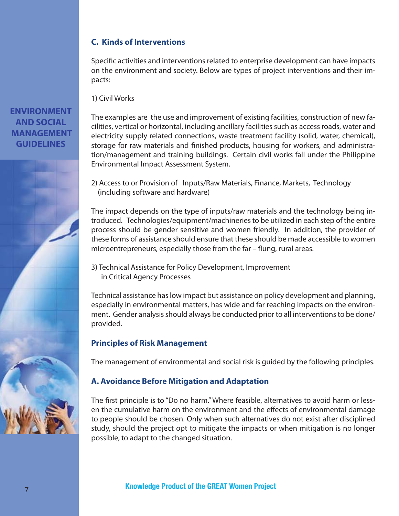#### **C. Kinds of Interventions**

Specific activities and interventions related to enterprise development can have impacts on the environment and society. Below are types of project interventions and their impacts:

1) Civil Works

The examples are the use and improvement of existing facilities, construction of new facilities, vertical or horizontal, including ancillary facilities such as access roads, water and electricity supply related connections, waste treatment facility (solid, water, chemical), storage for raw materials and finished products, housing for workers, and administration/management and training buildings. Certain civil works fall under the Philippine Environmental Impact Assessment System.

2) Access to or Provision of Inputs/Raw Materials, Finance, Markets, Technology (including software and hardware)

The impact depends on the type of inputs/raw materials and the technology being introduced. Technologies/equipment/machineries to be utilized in each step of the entire process should be gender sensitive and women friendly. In addition, the provider of these forms of assistance should ensure that these should be made accessible to women microentrepreneurs, especially those from the far  $-$  flung, rural areas.

3) Technical Assistance for Policy Development, Improvement in Critical Agency Processes

Technical assistance has low impact but assistance on policy development and planning, especially in environmental matters, has wide and far reaching impacts on the environment. Gender analysis should always be conducted prior to all interventions to be done/ provided.

#### **Principles of Risk Management**

The management of environmental and social risk is guided by the following principles.

#### **A. Avoidance Before Mitigation and Adaptation**

The first principle is to "Do no harm." Where feasible, alternatives to avoid harm or lessen the cumulative harm on the environment and the effects of environmental damage to people should be chosen. Only when such alternatives do not exist after disciplined study, should the project opt to mitigate the impacts or when mitigation is no longer possible, to adapt to the changed situation.

#### **ENVIRONMENT AND SOCIAL MANAGEMENT GUIDELINES**

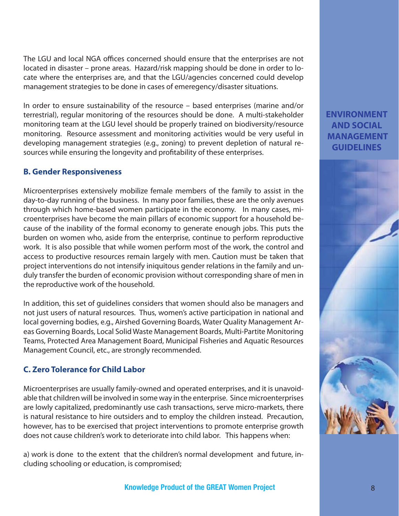The LGU and local NGA offices concerned should ensure that the enterprises are not located in disaster – prone areas. Hazard/risk mapping should be done in order to locate where the enterprises are, and that the LGU/agencies concerned could develop management strategies to be done in cases of emeregency/disaster situations.

In order to ensure sustainability of the resource – based enterprises (marine and/or terrestrial), regular monitoring of the resources should be done. A multi-stakeholder monitoring team at the LGU level should be properly trained on biodiversity/resource monitoring. Resource assessment and monitoring activities would be very useful in developing management strategies (e.g., zoning) to prevent depletion of natural resources while ensuring the longevity and profitability of these enterprises.

#### **B. Gender Responsiveness**

Microenterprises extensively mobilize female members of the family to assist in the day-to-day running of the business. In many poor families, these are the only avenues through which home-based women participate in the economy. In many cases, microenterprises have become the main pillars of economic support for a household because of the inability of the formal economy to generate enough jobs. This puts the burden on women who, aside from the enterprise, continue to perform reproductive work. It is also possible that while women perform most of the work, the control and access to productive resources remain largely with men. Caution must be taken that project interventions do not intensify iniquitous gender relations in the family and unduly transfer the burden of economic provision without corresponding share of men in the reproductive work of the household.

In addition, this set of guidelines considers that women should also be managers and not just users of natural resources. Thus, women's active participation in national and local governing bodies, e.g., Airshed Governing Boards, Water Quality Management Areas Governing Boards, Local Solid Waste Management Boards, Multi-Partite Monitoring Teams, Protected Area Management Board, Municipal Fisheries and Aquatic Resources Management Council, etc., are strongly recommended.

#### **C. Zero Tolerance for Child Labor**

Microenterprises are usually family-owned and operated enterprises, and it is unavoidable that children will be involved in some way in the enterprise. Since microenterprises are lowly capitalized, predominantly use cash transactions, serve micro-markets, there is natural resistance to hire outsiders and to employ the children instead. Precaution, however, has to be exercised that project interventions to promote enterprise growth does not cause children's work to deteriorate into child labor. This happens when:

a) work is done to the extent that the children's normal development and future, including schooling or education, is compromised;

#### **ENVIRONMENT AND SOCIAL MANAGEMENT GUIDELINES**

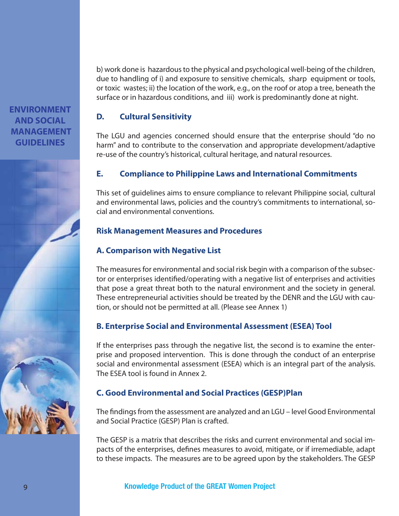b) work done is hazardous to the physical and psychological well-being of the children, due to handling of i) and exposure to sensitive chemicals, sharp equipment or tools, or toxic wastes; ii) the location of the work, e.g., on the roof or atop a tree, beneath the surface or in hazardous conditions, and iii) work is predominantly done at night.

#### **D. Cultural Sensitivity**

The LGU and agencies concerned should ensure that the enterprise should "do no harm" and to contribute to the conservation and appropriate development/adaptive re-use of the country's historical, cultural heritage, and natural resources.

#### **E. Compliance to Philippine Laws and International Commitments**

This set of guidelines aims to ensure compliance to relevant Philippine social, cultural and environmental laws, policies and the country's commitments to international, social and environmental conventions.

#### **Risk Management Measures and Procedures**

#### **A. Comparison with Negative List**

The measures for environmental and social risk begin with a comparison of the subsector or enterprises identified/operating with a negative list of enterprises and activities that pose a great threat both to the natural environment and the society in general. These entrepreneurial activities should be treated by the DENR and the LGU with caution, or should not be permitted at all. (Please see Annex 1)

#### **B. Enterprise Social and Environmental Assessment (ESEA) Tool**

If the enterprises pass through the negative list, the second is to examine the enterprise and proposed intervention. This is done through the conduct of an enterprise social and environmental assessment (ESEA) which is an integral part of the analysis. The ESEA tool is found in Annex 2.

#### **C. Good Environmental and Social Practices (GESP)Plan**

The findings from the assessment are analyzed and an LGU – level Good Environmental and Social Practice (GESP) Plan is crafted.

The GESP is a matrix that describes the risks and current environmental and social impacts of the enterprises, defines measures to avoid, mitigate, or if irremediable, adapt to these impacts. The measures are to be agreed upon by the stakeholders. The GESP

**ENVIRONMENT AND SOCIAL MANAGEMENT GUIDELINES**

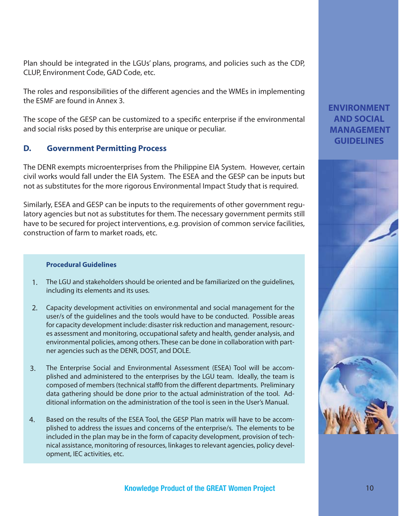Plan should be integrated in the LGUs' plans, programs, and policies such as the CDP, CLUP, Environment Code, GAD Code, etc.

The roles and responsibilities of the different agencies and the WMEs in implementing the ESMF are found in Annex 3.

The scope of the GESP can be customized to a specific enterprise if the environmental and social risks posed by this enterprise are unique or peculiar.

#### **D. Government Permitting Process**

The DENR exempts microenterprises from the Philippine EIA System. However, certain civil works would fall under the EIA System. The ESEA and the GESP can be inputs but not as substitutes for the more rigorous Environmental Impact Study that is required.

Similarly, ESEA and GESP can be inputs to the requirements of other government regulatory agencies but not as substitutes for them. The necessary government permits still have to be secured for project interventions, e.g. provision of common service facilities, construction of farm to market roads, etc.

#### **Procedural Guidelines**

- The LGU and stakeholders should be oriented and be familiarized on the guidelines, including its elements and its uses. 1.
- 2. Capacity development activities on environmental and social management for the user/s of the guidelines and the tools would have to be conducted. Possible areas for capacity development include: disaster risk reduction and management, resources assessment and monitoring, occupational safety and health, gender analysis, and environmental policies, among others. These can be done in collaboration with partner agencies such as the DENR, DOST, and DOLE.
- The Enterprise Social and Environmental Assessment (ESEA) Tool will be accomplished and administered to the enterprises by the LGU team. Ideally, the team is composed of members (technical staff0 from the different departments. Preliminary data gathering should be done prior to the actual administration of the tool. Additional information on the administration of the tool is seen in the User's Manual. 3.
- Based on the results of the ESEA Tool, the GESP Plan matrix will have to be accomplished to address the issues and concerns of the enterprise/s. The elements to be included in the plan may be in the form of capacity development, provision of technical assistance, monitoring of resources, linkages to relevant agencies, policy development, IEC activities, etc. 4.

#### **ENVIRONMENT AND SOCIAL MANAGEMENT GUIDELINES**

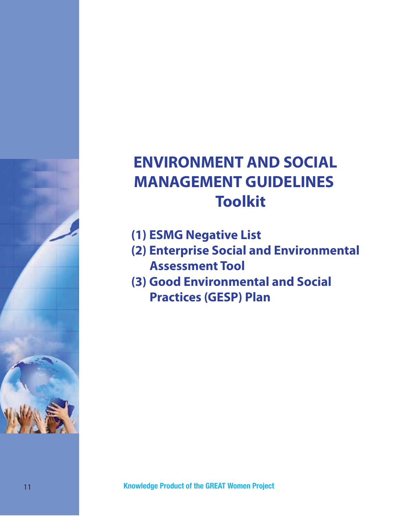## **ENVIRONMENT AND SOCIAL MANAGEMENT GUIDELINES Toolkit**

- **(1) ESMG Negative List**
- **(2) Enterprise Social and Environmental Assessment Tool**
- **(3) Good Environmental and Social Practices (GESP) Plan**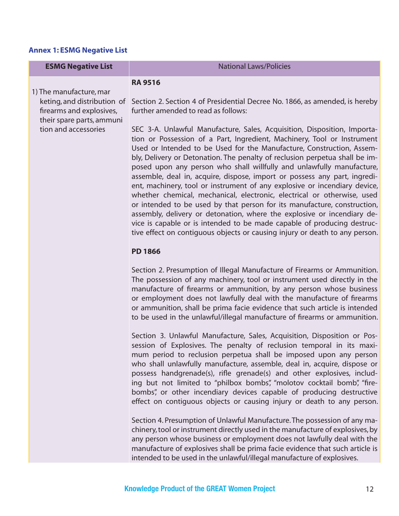#### **Annex 1: ESMG Negative List**

| <b>ESMG Negative List</b>                                                            | <b>National Laws/Policies</b>                                                                                                                                                                                                                                                                                                                                                                                                                                                                                                                                                                                                                                                                                                                                                                                                                                                                                                              |
|--------------------------------------------------------------------------------------|--------------------------------------------------------------------------------------------------------------------------------------------------------------------------------------------------------------------------------------------------------------------------------------------------------------------------------------------------------------------------------------------------------------------------------------------------------------------------------------------------------------------------------------------------------------------------------------------------------------------------------------------------------------------------------------------------------------------------------------------------------------------------------------------------------------------------------------------------------------------------------------------------------------------------------------------|
| 1) The manufacture, mar                                                              | <b>RA 9516</b>                                                                                                                                                                                                                                                                                                                                                                                                                                                                                                                                                                                                                                                                                                                                                                                                                                                                                                                             |
| keting, and distribution of<br>firearms and explosives,<br>their spare parts, ammuni | Section 2. Section 4 of Presidential Decree No. 1866, as amended, is hereby<br>further amended to read as follows:                                                                                                                                                                                                                                                                                                                                                                                                                                                                                                                                                                                                                                                                                                                                                                                                                         |
| tion and accessories                                                                 | SEC 3-A. Unlawful Manufacture, Sales, Acquisition, Disposition, Importa-<br>tion or Possession of a Part, Ingredient, Machinery, Tool or Instrument<br>Used or Intended to be Used for the Manufacture, Construction, Assem-<br>bly, Delivery or Detonation. The penalty of reclusion perpetua shall be im-<br>posed upon any person who shall willfully and unlawfully manufacture,<br>assemble, deal in, acquire, dispose, import or possess any part, ingredi-<br>ent, machinery, tool or instrument of any explosive or incendiary device,<br>whether chemical, mechanical, electronic, electrical or otherwise, used<br>or intended to be used by that person for its manufacture, construction,<br>assembly, delivery or detonation, where the explosive or incendiary de-<br>vice is capable or is intended to be made capable of producing destruc-<br>tive effect on contiguous objects or causing injury or death to any person. |
|                                                                                      | <b>PD 1866</b>                                                                                                                                                                                                                                                                                                                                                                                                                                                                                                                                                                                                                                                                                                                                                                                                                                                                                                                             |
|                                                                                      | Section 2. Presumption of Illegal Manufacture of Firearms or Ammunition.<br>The possession of any machinery, tool or instrument used directly in the<br>manufacture of firearms or ammunition, by any person whose business<br>or employment does not lawfully deal with the manufacture of firearms<br>or ammunition, shall be prima facie evidence that such article is intended<br>to be used in the unlawful/illegal manufacture of firearms or ammunition.                                                                                                                                                                                                                                                                                                                                                                                                                                                                            |
|                                                                                      | Section 3. Unlawful Manufacture, Sales, Acquisition, Disposition or Pos-<br>session of Explosives. The penalty of reclusion temporal in its maxi-<br>mum period to reclusion perpetua shall be imposed upon any person<br>who shall unlawfully manufacture, assemble, deal in, acquire, dispose or<br>possess handgrenade(s), rifle grenade(s) and other explosives, includ-<br>ing but not limited to "philbox bombs", "molotov cocktail bomb", "fire-<br>bombs", or other incendiary devices capable of producing destructive<br>effect on contiguous objects or causing injury or death to any person.                                                                                                                                                                                                                                                                                                                                  |
|                                                                                      | Section 4. Presumption of Unlawful Manufacture. The possession of any ma-<br>chinery, tool or instrument directly used in the manufacture of explosives, by                                                                                                                                                                                                                                                                                                                                                                                                                                                                                                                                                                                                                                                                                                                                                                                |

chinery, tool or instrument directly used in the manufacture of explosives, by any person whose business or employment does not lawfully deal with the manufacture of explosives shall be prima facie evidence that such article is intended to be used in the unlawful/illegal manufacture of explosives.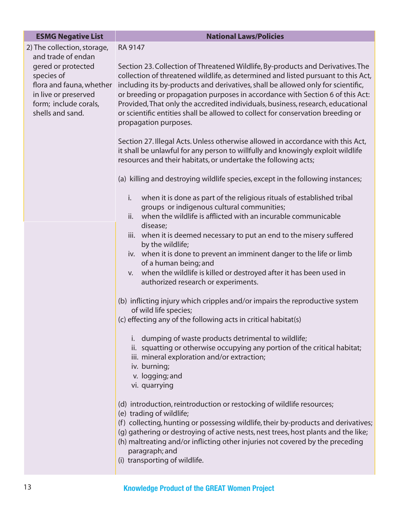| <b>ESMG Negative List</b>                                                                                                                               | <b>National Laws/Policies</b>                                                                                                                                                                                                                                                                                                                                                                                                                                                                                                            |
|---------------------------------------------------------------------------------------------------------------------------------------------------------|------------------------------------------------------------------------------------------------------------------------------------------------------------------------------------------------------------------------------------------------------------------------------------------------------------------------------------------------------------------------------------------------------------------------------------------------------------------------------------------------------------------------------------------|
| 2) The collection, storage,                                                                                                                             | RA 9147                                                                                                                                                                                                                                                                                                                                                                                                                                                                                                                                  |
| and trade of endan<br>gered or protected<br>species of<br>flora and fauna, whether<br>in live or preserved<br>form; include corals,<br>shells and sand. | Section 23. Collection of Threatened Wildlife, By-products and Derivatives. The<br>collection of threatened wildlife, as determined and listed pursuant to this Act,<br>including its by-products and derivatives, shall be allowed only for scientific,<br>or breeding or propagation purposes in accordance with Section 6 of this Act:<br>Provided, That only the accredited individuals, business, research, educational<br>or scientific entities shall be allowed to collect for conservation breeding or<br>propagation purposes. |
|                                                                                                                                                         | Section 27. Illegal Acts. Unless otherwise allowed in accordance with this Act,<br>it shall be unlawful for any person to willfully and knowingly exploit wildlife<br>resources and their habitats, or undertake the following acts;                                                                                                                                                                                                                                                                                                     |
|                                                                                                                                                         | (a) killing and destroying wildlife species, except in the following instances;                                                                                                                                                                                                                                                                                                                                                                                                                                                          |
|                                                                                                                                                         | when it is done as part of the religious rituals of established tribal<br>i.<br>groups or indigenous cultural communities;                                                                                                                                                                                                                                                                                                                                                                                                               |
|                                                                                                                                                         | when the wildlife is afflicted with an incurable communicable<br>ii.                                                                                                                                                                                                                                                                                                                                                                                                                                                                     |
|                                                                                                                                                         | disease;<br>iii. when it is deemed necessary to put an end to the misery suffered<br>by the wildlife;                                                                                                                                                                                                                                                                                                                                                                                                                                    |
|                                                                                                                                                         | iv. when it is done to prevent an imminent danger to the life or limb<br>of a human being; and                                                                                                                                                                                                                                                                                                                                                                                                                                           |
|                                                                                                                                                         | when the wildlife is killed or destroyed after it has been used in<br>V.<br>authorized research or experiments.                                                                                                                                                                                                                                                                                                                                                                                                                          |
|                                                                                                                                                         | (b) inflicting injury which cripples and/or impairs the reproductive system<br>of wild life species;                                                                                                                                                                                                                                                                                                                                                                                                                                     |
|                                                                                                                                                         | (c) effecting any of the following acts in critical habitat(s)                                                                                                                                                                                                                                                                                                                                                                                                                                                                           |
|                                                                                                                                                         | i. dumping of waste products detrimental to wildlife;<br>ii. squatting or otherwise occupying any portion of the critical habitat;<br>iii. mineral exploration and/or extraction;<br>iv. burning;<br>v. logging; and<br>vi. quarrying                                                                                                                                                                                                                                                                                                    |
|                                                                                                                                                         | (d) introduction, reintroduction or restocking of wildlife resources;<br>(e) trading of wildlife;<br>(f) collecting, hunting or possessing wildlife, their by-products and derivatives;<br>(g) gathering or destroying of active nests, nest trees, host plants and the like;<br>(h) maltreating and/or inflicting other injuries not covered by the preceding<br>paragraph; and<br>(i) transporting of wildlife.                                                                                                                        |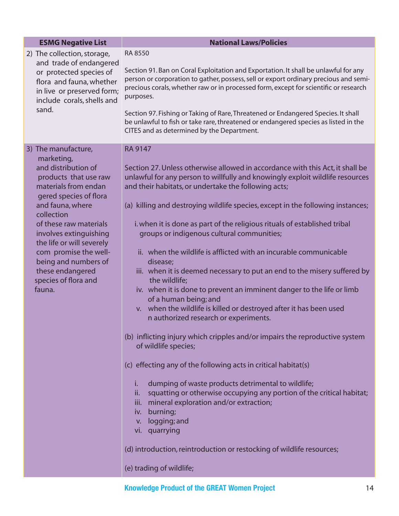| <b>ESMG Negative List</b>                                                                                                                                                                                                                                                                                                                                     | <b>National Laws/Policies</b>                                                                                                                                                                                                                                                                                                                                                                                                                                                                                                                                                                                                                                                                                                                                                                                                                                                                                                                                                                                                                                                                                                                                                                                                                                                                                                                                                            |
|---------------------------------------------------------------------------------------------------------------------------------------------------------------------------------------------------------------------------------------------------------------------------------------------------------------------------------------------------------------|------------------------------------------------------------------------------------------------------------------------------------------------------------------------------------------------------------------------------------------------------------------------------------------------------------------------------------------------------------------------------------------------------------------------------------------------------------------------------------------------------------------------------------------------------------------------------------------------------------------------------------------------------------------------------------------------------------------------------------------------------------------------------------------------------------------------------------------------------------------------------------------------------------------------------------------------------------------------------------------------------------------------------------------------------------------------------------------------------------------------------------------------------------------------------------------------------------------------------------------------------------------------------------------------------------------------------------------------------------------------------------------|
| 2) The collection, storage,<br>and trade of endangered<br>or protected species of<br>flora and fauna, whether<br>in live or preserved form;<br>include corals, shells and<br>sand.                                                                                                                                                                            | <b>RA 8550</b><br>Section 91. Ban on Coral Exploitation and Exportation. It shall be unlawful for any<br>person or corporation to gather, possess, sell or export ordinary precious and semi-<br>precious corals, whether raw or in processed form, except for scientific or research<br>purposes.<br>Section 97. Fishing or Taking of Rare, Threatened or Endangered Species. It shall<br>be unlawful to fish or take rare, threatened or endangered species as listed in the<br>CITES and as determined by the Department.                                                                                                                                                                                                                                                                                                                                                                                                                                                                                                                                                                                                                                                                                                                                                                                                                                                             |
| 3) The manufacture,<br>marketing,<br>and distribution of<br>products that use raw<br>materials from endan<br>gered species of flora<br>and fauna, where<br>collection<br>of these raw materials<br>involves extinguishing<br>the life or will severely<br>com promise the well-<br>being and numbers of<br>these endangered<br>species of flora and<br>fauna. | <b>RA 9147</b><br>Section 27. Unless otherwise allowed in accordance with this Act, it shall be<br>unlawful for any person to willfully and knowingly exploit wildlife resources<br>and their habitats, or undertake the following acts;<br>(a) killing and destroying wildlife species, except in the following instances;<br>i. when it is done as part of the religious rituals of established tribal<br>groups or indigenous cultural communities;<br>ii. when the wildlife is afflicted with an incurable communicable<br>disease;<br>iii. when it is deemed necessary to put an end to the misery suffered by<br>the wildlife;<br>iv. when it is done to prevent an imminent danger to the life or limb<br>of a human being; and<br>v. when the wildlife is killed or destroyed after it has been used<br>n authorized research or experiments.<br>(b) inflicting injury which cripples and/or impairs the reproductive system<br>of wildlife species;<br>(c) effecting any of the following acts in critical habitat(s)<br>dumping of waste products detrimental to wildlife;<br>i.<br>squatting or otherwise occupying any portion of the critical habitat;<br>ii.<br>iii. mineral exploration and/or extraction;<br>burning;<br>iv.<br>logging; and<br>V.<br>vi. quarrying<br>(d) introduction, reintroduction or restocking of wildlife resources;<br>(e) trading of wildlife; |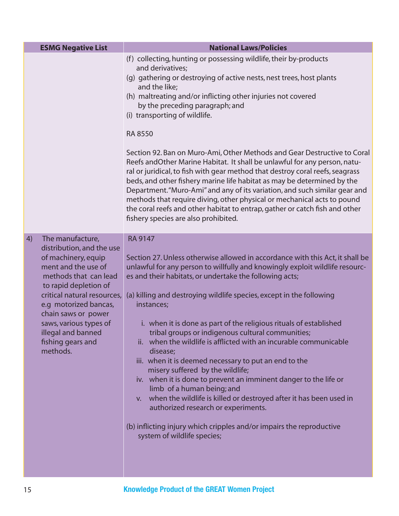| <b>ESMG Negative List</b>                                                                                                                                                                                                                                                                                           | <b>National Laws/Policies</b>                                                                                                                                                                                                                                                                                                                                                                                                                                                                                                                                                                                                                                                                                                                                                                                                                                                                                                                                      |
|---------------------------------------------------------------------------------------------------------------------------------------------------------------------------------------------------------------------------------------------------------------------------------------------------------------------|--------------------------------------------------------------------------------------------------------------------------------------------------------------------------------------------------------------------------------------------------------------------------------------------------------------------------------------------------------------------------------------------------------------------------------------------------------------------------------------------------------------------------------------------------------------------------------------------------------------------------------------------------------------------------------------------------------------------------------------------------------------------------------------------------------------------------------------------------------------------------------------------------------------------------------------------------------------------|
|                                                                                                                                                                                                                                                                                                                     | (f) collecting, hunting or possessing wildlife, their by-products<br>and derivatives;<br>(g) gathering or destroying of active nests, nest trees, host plants<br>and the like;<br>(h) maltreating and/or inflicting other injuries not covered<br>by the preceding paragraph; and<br>(i) transporting of wildlife.<br><b>RA 8550</b><br>Section 92. Ban on Muro-Ami, Other Methods and Gear Destructive to Coral<br>Reefs and Other Marine Habitat. It shall be unlawful for any person, natu-<br>ral or juridical, to fish with gear method that destroy coral reefs, seagrass<br>beds, and other fishery marine life habitat as may be determined by the<br>Department. "Muro-Ami" and any of its variation, and such similar gear and<br>methods that require diving, other physical or mechanical acts to pound<br>the coral reefs and other habitat to entrap, gather or catch fish and other<br>fishery species are also prohibited.                         |
| The manufacture,<br>4)<br>distribution, and the use<br>of machinery, equip<br>ment and the use of<br>methods that can lead<br>to rapid depletion of<br>critical natural resources,<br>e.g motorized bancas,<br>chain saws or power<br>saws, various types of<br>illegal and banned<br>fishing gears and<br>methods. | <b>RA 9147</b><br>Section 27. Unless otherwise allowed in accordance with this Act, it shall be<br>unlawful for any person to willfully and knowingly exploit wildlife resourc-<br>es and their habitats, or undertake the following acts;<br>(a) killing and destroying wildlife species, except in the following<br>instances;<br>i. when it is done as part of the religious rituals of established<br>tribal groups or indigenous cultural communities;<br>ii. when the wildlife is afflicted with an incurable communicable<br>disease;<br>iii. when it is deemed necessary to put an end to the<br>misery suffered by the wildlife;<br>iv. when it is done to prevent an imminent danger to the life or<br>limb of a human being; and<br>v. when the wildlife is killed or destroyed after it has been used in<br>authorized research or experiments.<br>(b) inflicting injury which cripples and/or impairs the reproductive<br>system of wildlife species; |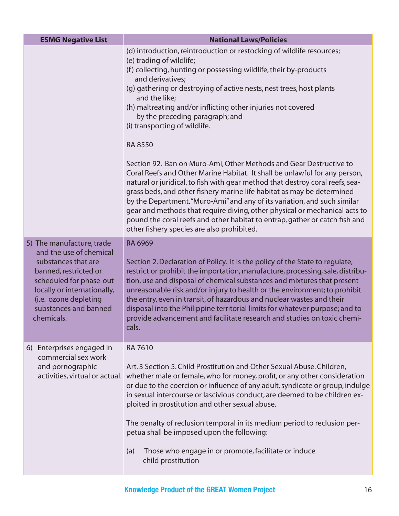| <b>ESMG Negative List</b>                                                                                                                                                                                                      | <b>National Laws/Policies</b>                                                                                                                                                                                                                                                                                                                                                                                                                                                                                                                                                                                                                                                                                                                                                                                                                                                                                                                                                                                                                   |
|--------------------------------------------------------------------------------------------------------------------------------------------------------------------------------------------------------------------------------|-------------------------------------------------------------------------------------------------------------------------------------------------------------------------------------------------------------------------------------------------------------------------------------------------------------------------------------------------------------------------------------------------------------------------------------------------------------------------------------------------------------------------------------------------------------------------------------------------------------------------------------------------------------------------------------------------------------------------------------------------------------------------------------------------------------------------------------------------------------------------------------------------------------------------------------------------------------------------------------------------------------------------------------------------|
|                                                                                                                                                                                                                                | (d) introduction, reintroduction or restocking of wildlife resources;<br>(e) trading of wildlife;<br>(f) collecting, hunting or possessing wildlife, their by-products<br>and derivatives;<br>(g) gathering or destroying of active nests, nest trees, host plants<br>and the like;<br>(h) maltreating and/or inflicting other injuries not covered<br>by the preceding paragraph; and<br>(i) transporting of wildlife.<br><b>RA 8550</b><br>Section 92. Ban on Muro-Ami, Other Methods and Gear Destructive to<br>Coral Reefs and Other Marine Habitat. It shall be unlawful for any person,<br>natural or juridical, to fish with gear method that destroy coral reefs, sea-<br>grass beds, and other fishery marine life habitat as may be determined<br>by the Department. "Muro-Ami" and any of its variation, and such similar<br>gear and methods that require diving, other physical or mechanical acts to<br>pound the coral reefs and other habitat to entrap, gather or catch fish and<br>other fishery species are also prohibited. |
| 5) The manufacture, trade<br>and the use of chemical<br>substances that are<br>banned, restricted or<br>scheduled for phase-out<br>locally or internationally,<br>(i.e. ozone depleting<br>substances and banned<br>chemicals. | <b>RA 6969</b><br>Section 2. Declaration of Policy. It is the policy of the State to regulate,<br>restrict or prohibit the importation, manufacture, processing, sale, distribu-<br>tion, use and disposal of chemical substances and mixtures that present<br>unreasonable risk and/or injury to health or the environment; to prohibit<br>the entry, even in transit, of hazardous and nuclear wastes and their<br>disposal into the Philippine territorial limits for whatever purpose; and to<br>provide advancement and facilitate research and studies on toxic chemi-<br>cals.                                                                                                                                                                                                                                                                                                                                                                                                                                                           |
| 6) Enterprises engaged in<br>commercial sex work<br>and pornographic                                                                                                                                                           | <b>RA 7610</b><br>Art. 3 Section 5. Child Prostitution and Other Sexual Abuse. Children,<br>activities, virtual or actual. whether male or female, who for money, profit, or any other consideration<br>or due to the coercion or influence of any adult, syndicate or group, indulge<br>in sexual intercourse or lascivious conduct, are deemed to be children ex-<br>ploited in prostitution and other sexual abuse.<br>The penalty of reclusion temporal in its medium period to reclusion per-<br>petua shall be imposed upon the following:<br>Those who engage in or promote, facilitate or induce<br>(a)<br>child prostitution                                                                                                                                                                                                                                                                                                                                                                                                           |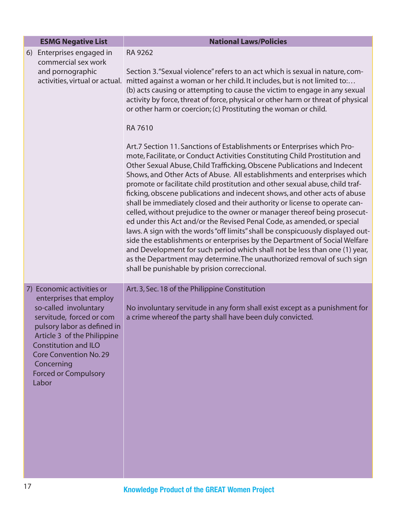| <b>ESMG Negative List</b>                                                                                                                                                                                                                                                                     | <b>National Laws/Policies</b>                                                                                                                                                                                                                                                                                                                                                                                                                                                                                                                                                                                                                                                                                                                                                                                                                                                                                                                                                                                                                                                                                                                                                                                                                                                                                                                                                                                                                                                                                           |
|-----------------------------------------------------------------------------------------------------------------------------------------------------------------------------------------------------------------------------------------------------------------------------------------------|-------------------------------------------------------------------------------------------------------------------------------------------------------------------------------------------------------------------------------------------------------------------------------------------------------------------------------------------------------------------------------------------------------------------------------------------------------------------------------------------------------------------------------------------------------------------------------------------------------------------------------------------------------------------------------------------------------------------------------------------------------------------------------------------------------------------------------------------------------------------------------------------------------------------------------------------------------------------------------------------------------------------------------------------------------------------------------------------------------------------------------------------------------------------------------------------------------------------------------------------------------------------------------------------------------------------------------------------------------------------------------------------------------------------------------------------------------------------------------------------------------------------------|
| 6) Enterprises engaged in<br>commercial sex work<br>and pornographic<br>activities, virtual or actual.                                                                                                                                                                                        | RA 9262<br>Section 3. "Sexual violence" refers to an act which is sexual in nature, com-<br>mitted against a woman or her child. It includes, but is not limited to:<br>(b) acts causing or attempting to cause the victim to engage in any sexual<br>activity by force, threat of force, physical or other harm or threat of physical<br>or other harm or coercion; (c) Prostituting the woman or child.<br><b>RA7610</b><br>Art.7 Section 11. Sanctions of Establishments or Enterprises which Pro-<br>mote, Facilitate, or Conduct Activities Constituting Child Prostitution and<br>Other Sexual Abuse, Child Trafficking, Obscene Publications and Indecent<br>Shows, and Other Acts of Abuse. All establishments and enterprises which<br>promote or facilitate child prostitution and other sexual abuse, child traf-<br>ficking, obscene publications and indecent shows, and other acts of abuse<br>shall be immediately closed and their authority or license to operate can-<br>celled, without prejudice to the owner or manager thereof being prosecut-<br>ed under this Act and/or the Revised Penal Code, as amended, or special<br>laws. A sign with the words "off limits" shall be conspicuously displayed out-<br>side the establishments or enterprises by the Department of Social Welfare<br>and Development for such period which shall not be less than one (1) year,<br>as the Department may determine. The unauthorized removal of such sign<br>shall be punishable by prision correccional. |
| 7) Economic activities or<br>enterprises that employ<br>so-called involuntary<br>servitude, forced or com<br>pulsory labor as defined in<br>Article 3 of the Philippine<br><b>Constitution and ILO</b><br><b>Core Convention No. 29</b><br>Concerning<br><b>Forced or Compulsory</b><br>Labor | Art. 3, Sec. 18 of the Philippine Constitution<br>No involuntary servitude in any form shall exist except as a punishment for<br>a crime whereof the party shall have been duly convicted.                                                                                                                                                                                                                                                                                                                                                                                                                                                                                                                                                                                                                                                                                                                                                                                                                                                                                                                                                                                                                                                                                                                                                                                                                                                                                                                              |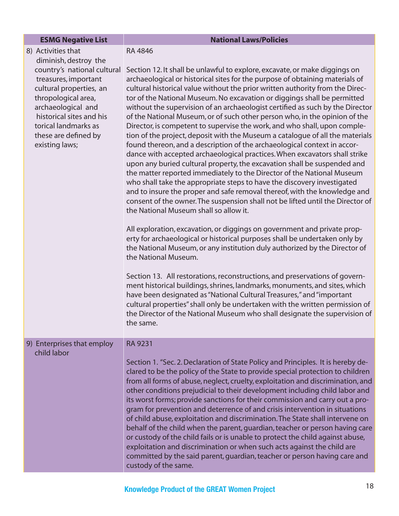#### **ESMG Negative List** National Laws/Policies

| 8) Activities that          |  |  |
|-----------------------------|--|--|
| diminish, destroy the       |  |  |
| country's national cultural |  |  |
| treasures, important        |  |  |
| cultural properties, an     |  |  |
| thropological area,         |  |  |
| archaeological and          |  |  |
| historical sites and his    |  |  |
| torical landmarks as        |  |  |
| these are defined by        |  |  |
| existing laws;              |  |  |

RA 4846

RA 9231

Section 12. It shall be unlawful to explore, excavate, or make diggings on archaeological or historical sites for the purpose of obtaining materials of cultural historical value without the prior written authority from the Director of the National Museum. No excavation or diggings shall be permitted without the supervision of an archaeologist certified as such by the Director of the National Museum, or of such other person who, in the opinion of the Director, is competent to supervise the work, and who shall, upon completion of the project, deposit with the Museum a catalogue of all the materials found thereon, and a description of the archaeological context in accordance with accepted archaeological practices. When excavators shall strike upon any buried cultural property, the excavation shall be suspended and the matter reported immediately to the Director of the National Museum who shall take the appropriate steps to have the discovery investigated and to insure the proper and safe removal thereof, with the knowledge and consent of the owner. The suspension shall not be lifted until the Director of the National Museum shall so allow it.

All exploration, excavation, or diggings on government and private property for archaeological or historical purposes shall be undertaken only by the National Museum, or any institution duly authorized by the Director of the National Museum.

Section 13. All restorations, reconstructions, and preservations of government historical buildings, shrines, landmarks, monuments, and sites, which have been designated as "National Cultural Treasures," and "important cultural properties" shall only be undertaken with the written permission of the Director of the National Museum who shall designate the supervision of the same.

#### 9) Enterprises that employ child labor

Section 1. "Sec. 2. Declaration of State Policy and Principles. It is hereby declared to be the policy of the State to provide special protection to children from all forms of abuse, neglect, cruelty, exploitation and discrimination, and other conditions prejudicial to their development including child labor and its worst forms; provide sanctions for their commission and carry out a program for prevention and deterrence of and crisis intervention in situations of child abuse, exploitation and discrimination. The State shall intervene on behalf of the child when the parent, guardian, teacher or person having care or custody of the child fails or is unable to protect the child against abuse, exploitation and discrimination or when such acts against the child are committed by the said parent, guardian, teacher or person having care and custody of the same.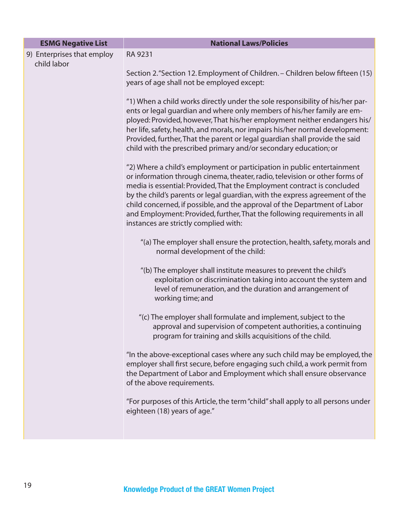| <b>ESMG Negative List</b>                 | <b>National Laws/Policies</b>                                                                                                                                                                                                                                                                                                                                                                                                                                                                                       |
|-------------------------------------------|---------------------------------------------------------------------------------------------------------------------------------------------------------------------------------------------------------------------------------------------------------------------------------------------------------------------------------------------------------------------------------------------------------------------------------------------------------------------------------------------------------------------|
| 9) Enterprises that employ<br>child labor | RA 9231                                                                                                                                                                                                                                                                                                                                                                                                                                                                                                             |
|                                           | Section 2. "Section 12. Employment of Children. - Children below fifteen (15)<br>years of age shall not be employed except:                                                                                                                                                                                                                                                                                                                                                                                         |
|                                           | "1) When a child works directly under the sole responsibility of his/her par-<br>ents or legal guardian and where only members of his/her family are em-<br>ployed: Provided, however, That his/her employment neither endangers his/<br>her life, safety, health, and morals, nor impairs his/her normal development:<br>Provided, further, That the parent or legal guardian shall provide the said<br>child with the prescribed primary and/or secondary education; or                                           |
|                                           | "2) Where a child's employment or participation in public entertainment<br>or information through cinema, theater, radio, television or other forms of<br>media is essential: Provided, That the Employment contract is concluded<br>by the child's parents or legal guardian, with the express agreement of the<br>child concerned, if possible, and the approval of the Department of Labor<br>and Employment: Provided, further, That the following requirements in all<br>instances are strictly complied with: |
|                                           | "(a) The employer shall ensure the protection, health, safety, morals and<br>normal development of the child:                                                                                                                                                                                                                                                                                                                                                                                                       |
|                                           | "(b) The employer shall institute measures to prevent the child's<br>exploitation or discrimination taking into account the system and<br>level of remuneration, and the duration and arrangement of<br>working time; and                                                                                                                                                                                                                                                                                           |
|                                           | "(c) The employer shall formulate and implement, subject to the<br>approval and supervision of competent authorities, a continuing<br>program for training and skills acquisitions of the child.                                                                                                                                                                                                                                                                                                                    |
|                                           | "In the above-exceptional cases where any such child may be employed, the<br>employer shall first secure, before engaging such child, a work permit from<br>the Department of Labor and Employment which shall ensure observance<br>of the above requirements.                                                                                                                                                                                                                                                      |
|                                           | "For purposes of this Article, the term "child" shall apply to all persons under<br>eighteen (18) years of age."                                                                                                                                                                                                                                                                                                                                                                                                    |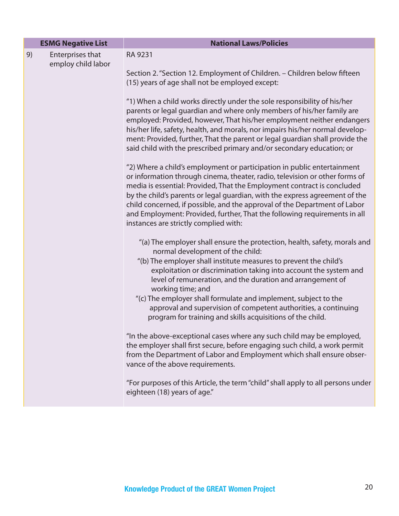|    | <b>ESMG Negative List</b>              | <b>National Laws/Policies</b>                                                                                                                                                                                                                                                                                                                                                                                                                                                                                                                  |
|----|----------------------------------------|------------------------------------------------------------------------------------------------------------------------------------------------------------------------------------------------------------------------------------------------------------------------------------------------------------------------------------------------------------------------------------------------------------------------------------------------------------------------------------------------------------------------------------------------|
| 9) | Enterprises that<br>employ child labor | RA 9231<br>Section 2. "Section 12. Employment of Children. - Children below fifteen<br>(15) years of age shall not be employed except:                                                                                                                                                                                                                                                                                                                                                                                                         |
|    |                                        | "1) When a child works directly under the sole responsibility of his/her<br>parents or legal guardian and where only members of his/her family are<br>employed: Provided, however, That his/her employment neither endangers<br>his/her life, safety, health, and morals, nor impairs his/her normal develop-<br>ment: Provided, further, That the parent or legal guardian shall provide the<br>said child with the prescribed primary and/or secondary education; or                                                                         |
|    |                                        | "2) Where a child's employment or participation in public entertainment<br>or information through cinema, theater, radio, television or other forms of<br>media is essential: Provided, That the Employment contract is concluded<br>by the child's parents or legal guardian, with the express agreement of the<br>child concerned, if possible, and the approval of the Department of Labor<br>and Employment: Provided, further, That the following requirements in all<br>instances are strictly complied with:                            |
|    |                                        | "(a) The employer shall ensure the protection, health, safety, morals and<br>normal development of the child:<br>"(b) The employer shall institute measures to prevent the child's<br>exploitation or discrimination taking into account the system and<br>level of remuneration, and the duration and arrangement of<br>working time; and<br>"(c) The employer shall formulate and implement, subject to the<br>approval and supervision of competent authorities, a continuing<br>program for training and skills acquisitions of the child. |
|    |                                        | "In the above-exceptional cases where any such child may be employed,<br>the employer shall first secure, before engaging such child, a work permit<br>from the Department of Labor and Employment which shall ensure obser-<br>vance of the above requirements.                                                                                                                                                                                                                                                                               |
|    |                                        | "For purposes of this Article, the term "child" shall apply to all persons under<br>eighteen (18) years of age."                                                                                                                                                                                                                                                                                                                                                                                                                               |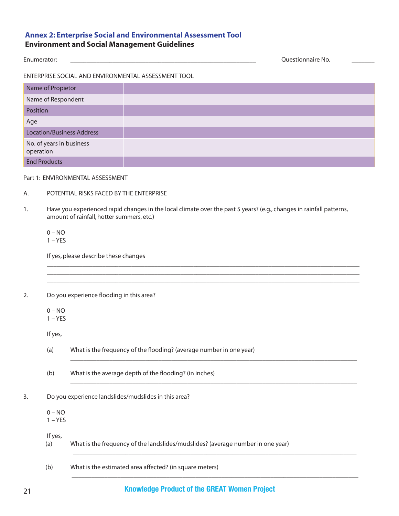### Enumerator: \_\_\_\_\_\_\_\_\_\_\_\_\_\_\_\_\_\_\_\_\_\_\_\_\_\_\_\_\_\_\_\_\_\_\_\_\_\_\_\_\_\_\_\_\_\_\_\_\_\_\_\_\_\_\_\_\_ Questionnaire No. \_\_\_\_\_\_\_

ENTERPRISE SOCIAL AND ENVIRONMENTAL ASSESSMENT TOOL

| Name of Propietor                     |  |
|---------------------------------------|--|
| Name of Respondent                    |  |
| Position                              |  |
| Age                                   |  |
| <b>Location/Business Address</b>      |  |
| No. of years in business<br>operation |  |
| <b>End Products</b>                   |  |

Part 1: ENVIRONMENTAL ASSESSMENT

#### A. POTENTIAL RISKS FACED BY THE ENTERPRISE

1. Have you experienced rapid changes in the local climate over the past 5 years? (e.g., changes in rainfall patterns, amount of rainfall, hotter summers, etc.)

 $\mathcal{L}_\mathcal{L} = \mathcal{L}_\mathcal{L} = \mathcal{L}_\mathcal{L} = \mathcal{L}_\mathcal{L} = \mathcal{L}_\mathcal{L} = \mathcal{L}_\mathcal{L} = \mathcal{L}_\mathcal{L} = \mathcal{L}_\mathcal{L} = \mathcal{L}_\mathcal{L} = \mathcal{L}_\mathcal{L} = \mathcal{L}_\mathcal{L} = \mathcal{L}_\mathcal{L} = \mathcal{L}_\mathcal{L} = \mathcal{L}_\mathcal{L} = \mathcal{L}_\mathcal{L} = \mathcal{L}_\mathcal{L} = \mathcal{L}_\mathcal{L}$  $\mathcal{L}_\mathcal{L} = \mathcal{L}_\mathcal{L} = \mathcal{L}_\mathcal{L} = \mathcal{L}_\mathcal{L} = \mathcal{L}_\mathcal{L} = \mathcal{L}_\mathcal{L} = \mathcal{L}_\mathcal{L} = \mathcal{L}_\mathcal{L} = \mathcal{L}_\mathcal{L} = \mathcal{L}_\mathcal{L} = \mathcal{L}_\mathcal{L} = \mathcal{L}_\mathcal{L} = \mathcal{L}_\mathcal{L} = \mathcal{L}_\mathcal{L} = \mathcal{L}_\mathcal{L} = \mathcal{L}_\mathcal{L} = \mathcal{L}_\mathcal{L}$  $\mathcal{L}_\mathcal{L} = \mathcal{L}_\mathcal{L} = \mathcal{L}_\mathcal{L} = \mathcal{L}_\mathcal{L} = \mathcal{L}_\mathcal{L} = \mathcal{L}_\mathcal{L} = \mathcal{L}_\mathcal{L} = \mathcal{L}_\mathcal{L} = \mathcal{L}_\mathcal{L} = \mathcal{L}_\mathcal{L} = \mathcal{L}_\mathcal{L} = \mathcal{L}_\mathcal{L} = \mathcal{L}_\mathcal{L} = \mathcal{L}_\mathcal{L} = \mathcal{L}_\mathcal{L} = \mathcal{L}_\mathcal{L} = \mathcal{L}_\mathcal{L}$ 

\_\_\_\_\_\_\_\_\_\_\_\_\_\_\_\_\_\_\_\_\_\_\_\_\_\_\_\_\_\_\_\_\_\_\_\_\_\_\_\_\_\_\_\_\_\_\_\_\_\_\_\_\_\_\_\_\_\_\_\_\_\_\_\_\_\_\_\_\_\_\_\_\_\_\_\_\_\_\_\_\_\_\_\_\_\_\_\_

\_\_\_\_\_\_\_\_\_\_\_\_\_\_\_\_\_\_\_\_\_\_\_\_\_\_\_\_\_\_\_\_\_\_\_\_\_\_\_\_\_\_\_\_\_\_\_\_\_\_\_\_\_\_\_\_\_\_\_\_\_\_\_\_\_\_\_\_\_\_\_\_\_\_\_\_\_\_\_\_\_\_\_\_\_\_\_\_

 $\mathcal{L}_\mathcal{L} = \{ \mathcal{L}_\mathcal{L} = \{ \mathcal{L}_\mathcal{L} = \{ \mathcal{L}_\mathcal{L} = \{ \mathcal{L}_\mathcal{L} = \{ \mathcal{L}_\mathcal{L} = \{ \mathcal{L}_\mathcal{L} = \{ \mathcal{L}_\mathcal{L} = \{ \mathcal{L}_\mathcal{L} = \{ \mathcal{L}_\mathcal{L} = \{ \mathcal{L}_\mathcal{L} = \{ \mathcal{L}_\mathcal{L} = \{ \mathcal{L}_\mathcal{L} = \{ \mathcal{L}_\mathcal{L} = \{ \mathcal{L}_\mathcal{$ 

 $\_$  ,  $\_$  ,  $\_$  ,  $\_$  ,  $\_$  ,  $\_$  ,  $\_$  ,  $\_$  ,  $\_$  ,  $\_$  ,  $\_$  ,  $\_$  ,  $\_$  ,  $\_$  ,  $\_$  ,  $\_$  ,  $\_$  ,  $\_$  ,  $\_$  ,  $\_$  ,  $\_$  ,  $\_$  ,  $\_$  ,  $\_$  ,  $\_$  ,  $\_$  ,  $\_$  ,  $\_$  ,  $\_$  ,  $\_$  ,  $\_$  ,  $\_$  ,  $\_$  ,  $\_$  ,  $\_$  ,  $\_$  ,  $\_$  ,

#### $0 - NO$  $1 - YES$

If yes, please describe these changes

2. Do you experience flooding in this area?

 $0 - NO$ 

 $1 - YES$ 

If yes,

- (a) What is the frequency of the flooding? (average number in one year)
- (b) What is the average depth of the flooding? (in inches)
- 3. Do you experience landslides/mudslides in this area?

 $0 - NO$  $1 - YES$ 

 If yes, (a) What is the frequency of the landslides/mudslides? (average number in one year)

(b) What is the estimated area affected? (in square meters)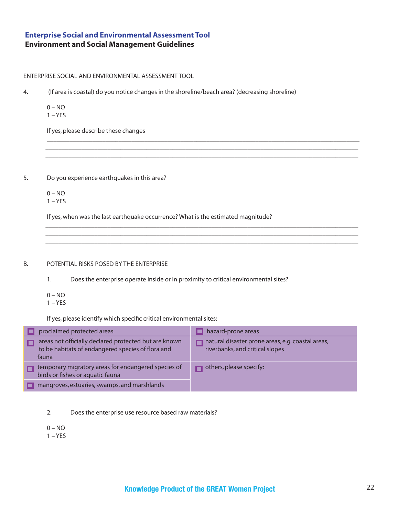#### ENTERPRISE SOCIAL AND ENVIRONMENTAL ASSESSMENT TOOL

4. (If area is coastal) do you notice changes in the shoreline/beach area? (decreasing shoreline)

 $\mathcal{L}_\mathcal{L} = \mathcal{L}_\mathcal{L} = \mathcal{L}_\mathcal{L} = \mathcal{L}_\mathcal{L} = \mathcal{L}_\mathcal{L} = \mathcal{L}_\mathcal{L} = \mathcal{L}_\mathcal{L} = \mathcal{L}_\mathcal{L} = \mathcal{L}_\mathcal{L} = \mathcal{L}_\mathcal{L} = \mathcal{L}_\mathcal{L} = \mathcal{L}_\mathcal{L} = \mathcal{L}_\mathcal{L} = \mathcal{L}_\mathcal{L} = \mathcal{L}_\mathcal{L} = \mathcal{L}_\mathcal{L} = \mathcal{L}_\mathcal{L}$  $\mathcal{L}_\mathcal{L} = \{ \mathcal{L}_\mathcal{L} = \{ \mathcal{L}_\mathcal{L} = \{ \mathcal{L}_\mathcal{L} = \{ \mathcal{L}_\mathcal{L} = \{ \mathcal{L}_\mathcal{L} = \{ \mathcal{L}_\mathcal{L} = \{ \mathcal{L}_\mathcal{L} = \{ \mathcal{L}_\mathcal{L} = \{ \mathcal{L}_\mathcal{L} = \{ \mathcal{L}_\mathcal{L} = \{ \mathcal{L}_\mathcal{L} = \{ \mathcal{L}_\mathcal{L} = \{ \mathcal{L}_\mathcal{L} = \{ \mathcal{L}_\mathcal{$  $\mathcal{L}_\mathcal{L} = \{ \mathcal{L}_\mathcal{L} = \{ \mathcal{L}_\mathcal{L} = \{ \mathcal{L}_\mathcal{L} = \{ \mathcal{L}_\mathcal{L} = \{ \mathcal{L}_\mathcal{L} = \{ \mathcal{L}_\mathcal{L} = \{ \mathcal{L}_\mathcal{L} = \{ \mathcal{L}_\mathcal{L} = \{ \mathcal{L}_\mathcal{L} = \{ \mathcal{L}_\mathcal{L} = \{ \mathcal{L}_\mathcal{L} = \{ \mathcal{L}_\mathcal{L} = \{ \mathcal{L}_\mathcal{L} = \{ \mathcal{L}_\mathcal{$ 

 $\mathcal{L}_\mathcal{L} = \{ \mathcal{L}_\mathcal{L} = \{ \mathcal{L}_\mathcal{L} = \{ \mathcal{L}_\mathcal{L} = \{ \mathcal{L}_\mathcal{L} = \{ \mathcal{L}_\mathcal{L} = \{ \mathcal{L}_\mathcal{L} = \{ \mathcal{L}_\mathcal{L} = \{ \mathcal{L}_\mathcal{L} = \{ \mathcal{L}_\mathcal{L} = \{ \mathcal{L}_\mathcal{L} = \{ \mathcal{L}_\mathcal{L} = \{ \mathcal{L}_\mathcal{L} = \{ \mathcal{L}_\mathcal{L} = \{ \mathcal{L}_\mathcal{$  $\mathcal{L}_\mathcal{L} = \{ \mathcal{L}_\mathcal{L} = \{ \mathcal{L}_\mathcal{L} = \{ \mathcal{L}_\mathcal{L} = \{ \mathcal{L}_\mathcal{L} = \{ \mathcal{L}_\mathcal{L} = \{ \mathcal{L}_\mathcal{L} = \{ \mathcal{L}_\mathcal{L} = \{ \mathcal{L}_\mathcal{L} = \{ \mathcal{L}_\mathcal{L} = \{ \mathcal{L}_\mathcal{L} = \{ \mathcal{L}_\mathcal{L} = \{ \mathcal{L}_\mathcal{L} = \{ \mathcal{L}_\mathcal{L} = \{ \mathcal{L}_\mathcal{$  $\mathcal{L}_\mathcal{L} = \{ \mathcal{L}_\mathcal{L} = \{ \mathcal{L}_\mathcal{L} = \{ \mathcal{L}_\mathcal{L} = \{ \mathcal{L}_\mathcal{L} = \{ \mathcal{L}_\mathcal{L} = \{ \mathcal{L}_\mathcal{L} = \{ \mathcal{L}_\mathcal{L} = \{ \mathcal{L}_\mathcal{L} = \{ \mathcal{L}_\mathcal{L} = \{ \mathcal{L}_\mathcal{L} = \{ \mathcal{L}_\mathcal{L} = \{ \mathcal{L}_\mathcal{L} = \{ \mathcal{L}_\mathcal{L} = \{ \mathcal{L}_\mathcal{$ 

 $0 - NO$  $1 - YES$ 

If yes, please describe these changes

5. Do you experience earthquakes in this area?

 $0 - NO$  $1 - YES$ 

If yes, when was the last earthquake occurrence? What is the estimated magnitude?

#### B. POTENTIAL RISKS POSED BY THE ENTERPRISE

1. Does the enterprise operate inside or in proximity to critical environmental sites?

- $0 NO$
- $1 YES$

If yes, please identify which specific critical environmental sites:

| proclaimed protected areas                                                                                          | hazard-prone areas                                                                   |
|---------------------------------------------------------------------------------------------------------------------|--------------------------------------------------------------------------------------|
| areas not officially declared protected but are known<br>to be habitats of endangered species of flora and<br>fauna | natural disaster prone areas, e.g. coastal areas,<br>riverbanks, and critical slopes |
| temporary migratory areas for endangered species of<br>birds or fishes or aquatic fauna                             | others, please specify:                                                              |
| mangroves, estuaries, swamps, and marshlands                                                                        |                                                                                      |

2. Does the enterprise use resource based raw materials?

 $0 - NO$ 

 $1 - YES$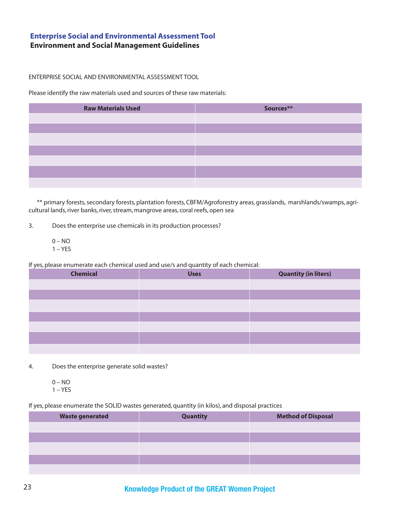#### ENTERPRISE SOCIAL AND ENVIRONMENTAL ASSESSMENT TOOL

Please identify the raw materials used and sources of these raw materials:

| <b>Raw Materials Used</b> | Sources** |
|---------------------------|-----------|
|                           |           |
|                           |           |
|                           |           |
|                           |           |
|                           |           |
|                           |           |
|                           |           |

 \*\* primary forests, secondary forests, plantation forests, CBFM/Agroforestry areas, grasslands, marshlands/swamps, agricultural lands, river banks, river, stream, mangrove areas, coral reefs, open sea

3. Does the enterprise use chemicals in its production processes?

 $0 - NO$  $1 - YES$ 

If yes, please enumerate each chemical used and use/s and quantity of each chemical:

| <b>Chemical</b> | <b>Uses</b> | <b>Quantity (in liters)</b> |
|-----------------|-------------|-----------------------------|
|                 |             |                             |
|                 |             |                             |
|                 |             |                             |
|                 |             |                             |
|                 |             |                             |
|                 |             |                             |
|                 |             |                             |

- 4. Does the enterprise generate solid wastes?
	- $0 NO$  $1 - YES$

If yes, please enumerate the SOLID wastes generated, quantity (in kilos), and disposal practices

| <b>Waste generated</b> | <b>Quantity</b> | <b>Method of Disposal</b> |
|------------------------|-----------------|---------------------------|
|                        |                 |                           |
|                        |                 |                           |
|                        |                 |                           |
|                        |                 |                           |
|                        |                 |                           |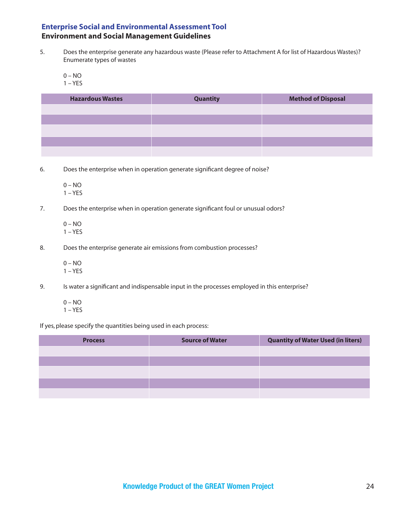- 5. Does the enterprise generate any hazardous waste (Please refer to Attachment A for list of Hazardous Wastes)? Enumerate types of wastes
	- $0 NO$
	- $1 YES$

| <b>Hazardous Wastes</b> | <b>Quantity</b> | <b>Method of Disposal</b> |
|-------------------------|-----------------|---------------------------|
|                         |                 |                           |
|                         |                 |                           |
|                         |                 |                           |
|                         |                 |                           |
|                         |                 |                           |

- 6. Does the enterprise when in operation generate significant degree of noise?
	- 0 NO 1 – YES
- 7. Does the enterprise when in operation generate significant foul or unusual odors?
	- $0 NO$ 1 – YES
- 8. Does the enterprise generate air emissions from combustion processes?
	- $0 NO$ 1 – YES
- 9. Is water a significant and indispensable input in the processes employed in this enterprise?
	- 0 NO
	- $1 YES$

If yes, please specify the quantities being used in each process:

| <b>Process</b> | <b>Source of Water</b> | <b>Quantity of Water Used (in liters)</b> |
|----------------|------------------------|-------------------------------------------|
|                |                        |                                           |
|                |                        |                                           |
|                |                        |                                           |
|                |                        |                                           |
|                |                        |                                           |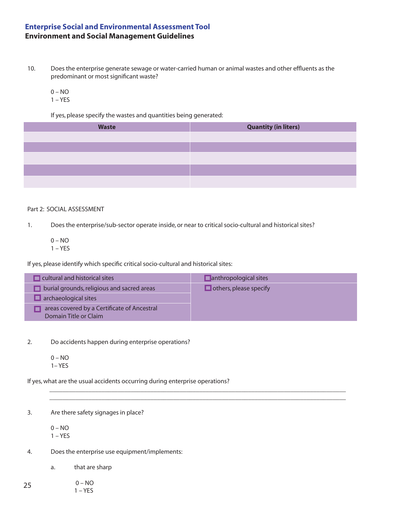- 10. Does the enterprise generate sewage or water-carried human or animal wastes and other effluents as the predominant or most significant waste?
	- $0 NO$  $1 - YES$

If yes, please specify the wastes and quantities being generated:

| <b>Waste</b> | <b>Quantity (in liters)</b> |
|--------------|-----------------------------|
|              |                             |
|              |                             |
|              |                             |
|              |                             |
|              |                             |

#### Part 2: SOCIAL ASSESSMENT

1. Does the enterprise/sub-sector operate inside, or near to critical socio-cultural and historical sites?

 0 – NO  $1 - YES$ 

If yes, please identify which specific critical socio-cultural and historical sites:

| cultural and historical sites                                        | $\Box$ anthropological sites  |
|----------------------------------------------------------------------|-------------------------------|
| $\Box$ burial grounds, religious and sacred areas                    | $\Box$ others, please specify |
| archaeological sites                                                 |                               |
| areas covered by a Certificate of Ancestral<br>Domain Title or Claim |                               |

 $\mathcal{L}_\mathcal{L} = \{ \mathcal{L}_\mathcal{L} = \{ \mathcal{L}_\mathcal{L} = \{ \mathcal{L}_\mathcal{L} = \{ \mathcal{L}_\mathcal{L} = \{ \mathcal{L}_\mathcal{L} = \{ \mathcal{L}_\mathcal{L} = \{ \mathcal{L}_\mathcal{L} = \{ \mathcal{L}_\mathcal{L} = \{ \mathcal{L}_\mathcal{L} = \{ \mathcal{L}_\mathcal{L} = \{ \mathcal{L}_\mathcal{L} = \{ \mathcal{L}_\mathcal{L} = \{ \mathcal{L}_\mathcal{L} = \{ \mathcal{L}_\mathcal{$  $\mathcal{L}_\mathcal{L} = \{ \mathcal{L}_\mathcal{L} = \{ \mathcal{L}_\mathcal{L} = \{ \mathcal{L}_\mathcal{L} = \{ \mathcal{L}_\mathcal{L} = \{ \mathcal{L}_\mathcal{L} = \{ \mathcal{L}_\mathcal{L} = \{ \mathcal{L}_\mathcal{L} = \{ \mathcal{L}_\mathcal{L} = \{ \mathcal{L}_\mathcal{L} = \{ \mathcal{L}_\mathcal{L} = \{ \mathcal{L}_\mathcal{L} = \{ \mathcal{L}_\mathcal{L} = \{ \mathcal{L}_\mathcal{L} = \{ \mathcal{L}_\mathcal{$ 

2. Do accidents happen during enterprise operations?

If yes, what are the usual accidents occurring during enterprise operations?

3. Are there safety signages in place?

 $0 - NO$ 1 – YES

4. Does the enterprise use equipment/implements:

- a. that are sharp
- 0 NO 1 – YES 25

 $0 - NO$ 1– YES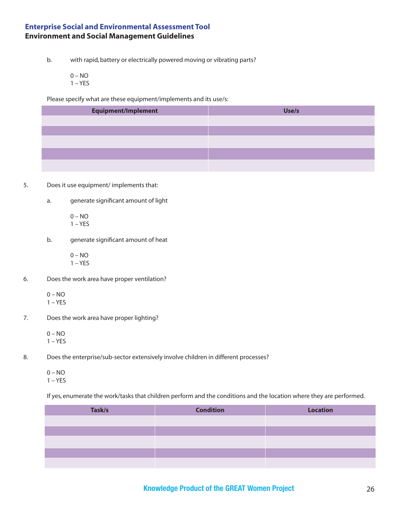b. with rapid, battery or electrically powered moving or vibrating parts?

 0 – NO  $1 - YES$ 

Please specify what are these equipment/implements and its use/s:

| <b>Equipment/Implement</b> | Use/s |
|----------------------------|-------|
|                            |       |
|                            |       |
|                            |       |
|                            |       |
|                            |       |

- 5. Does it use equipment/ implements that:
	- a. generate significant amount of light
		- $0 NO$  $1 - YES$
	- b. generate significant amount of heat
		- 0 NO  $1 - YES$
- 6. Does the work area have proper ventilation?
	- $0 NO$  $1 - YES$
- 7. Does the work area have proper lighting?
	- $0 NO$  $1 - YES$
- 8. Does the enterprise/sub-sector extensively involve children in different processes?
	- $0 NO$  $1 - YES$

If yes, enumerate the work/tasks that children perform and the conditions and the location where they are performed.

| Task/s | <b>Condition</b> | <b>Location</b> |
|--------|------------------|-----------------|
|        |                  |                 |
|        |                  |                 |
|        |                  |                 |
|        |                  |                 |
|        |                  |                 |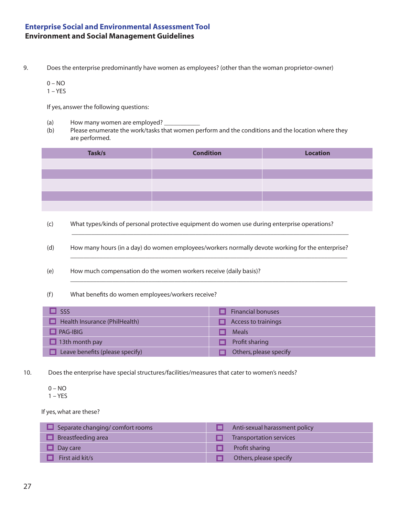9. Does the enterprise predominantly have women as employees? (other than the woman proprietor-owner)

0 – NO

 $1 - YES$ 

If yes, answer the following questions:

- (a) How many women are employed?
- (b) Please enumerate the work/tasks that women perform and the conditions and the location where they are performed.

| Task/s | <b>Condition</b> | <b>Location</b> |
|--------|------------------|-----------------|
|        |                  |                 |
|        |                  |                 |
|        |                  |                 |
|        |                  |                 |
|        |                  |                 |

 (c) What types/kinds of personal protective equipment do women use during enterprise operations? \_\_\_\_\_\_\_\_\_\_\_\_\_\_\_\_\_\_\_\_\_\_\_\_\_\_\_\_\_\_\_\_\_\_\_\_\_\_\_\_\_\_\_\_\_\_\_\_\_\_\_\_\_\_\_\_\_\_\_\_\_\_\_\_\_\_\_\_\_\_\_\_\_\_\_\_\_\_\_\_\_\_\_\_\_

\_\_\_\_\_\_\_\_\_\_\_\_\_\_\_\_\_\_\_\_\_\_\_\_\_\_\_\_\_\_\_\_\_\_\_\_\_\_\_\_\_\_\_\_\_\_\_\_\_\_\_\_\_\_\_\_\_\_\_\_\_\_\_\_\_\_\_\_\_\_\_\_\_\_\_\_\_\_\_\_\_\_\_\_\_

\_\_\_\_\_\_\_\_\_\_\_\_\_\_\_\_\_\_\_\_\_\_\_\_\_\_\_\_\_\_\_\_\_\_\_\_\_\_\_\_\_\_\_\_\_\_\_\_\_\_\_\_\_\_\_\_\_\_\_\_\_\_\_\_\_\_\_\_\_\_\_\_\_\_\_\_\_\_\_\_\_\_\_\_\_

(d) How many hours (in a day) do women employees/workers normally devote working for the enterprise?

(e) How much compensation do the women workers receive (daily basis)?

(f) What benefits do women employees/workers receive?

| SSS                             | <b>Financial bonuses</b>   |
|---------------------------------|----------------------------|
| Health Insurance (PhilHealth)   | <b>Access to trainings</b> |
| <b>PAG-IBIG</b>                 | <b>Meals</b>               |
| 13th month pay                  | Profit sharing             |
| Leave benefits (please specify) | Others, please specify     |

10. Does the enterprise have special structures/facilities/measures that cater to women's needs?

0 – NO

1 – YES

If yes, what are these?

| $\Box$ Separate changing/comfort rooms | Anti-sexual harassment policy  |
|----------------------------------------|--------------------------------|
| Breastfeeding area                     | <b>Transportation services</b> |
| Day care                               | Profit sharing                 |
| First aid kit/s                        | Others, please specify         |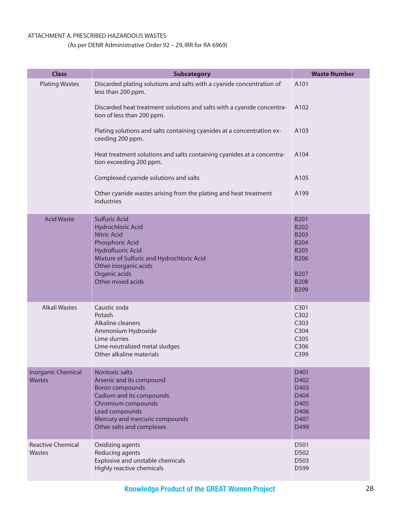#### ATTACHMENT A. PRESCRIBED HAZARDOUS WASTES

#### (As per DENR Administrative Order 92 – 29, IRR for RA 6969)

| <b>Class</b>                               | <b>Subcategory</b>                                                                                                                                                                                                         | <b>Waste Number</b>                                                                                                                 |
|--------------------------------------------|----------------------------------------------------------------------------------------------------------------------------------------------------------------------------------------------------------------------------|-------------------------------------------------------------------------------------------------------------------------------------|
| <b>Plating Wastes</b>                      | Discarded plating solutions and salts with a cyanide concentration of<br>less than 200 ppm.                                                                                                                                | A101                                                                                                                                |
|                                            | Discarded heat treatment solutions and salts with a cyanide concentra-<br>tion of less than 200 ppm.                                                                                                                       | A102                                                                                                                                |
|                                            | Plating solutions and salts containing cyanides at a concentration ex-<br>ceeding 200 ppm.                                                                                                                                 | A103                                                                                                                                |
|                                            | Heat treatment solutions and salts containing cyanides at a concentra-<br>tion exceeding 200 ppm.                                                                                                                          | A104                                                                                                                                |
|                                            | Complexed cyanide solutions and salts                                                                                                                                                                                      | A105                                                                                                                                |
|                                            | Other cyanide wastes arising from the plating and heat treatment<br>industries                                                                                                                                             | A199                                                                                                                                |
| <b>Acid Waste</b>                          | <b>Sulfuric Acid</b><br>Hydrochloric Acid<br><b>Nitric Acid</b><br>Phosphoric Acid<br><b>Hydrofluoric Acid</b><br>Mixture of Sulfuric and Hydrochloric Acid<br>Other inorganic acids<br>Organic acids<br>Other mixed acids | <b>B201</b><br><b>B202</b><br><b>B203</b><br><b>B204</b><br><b>B205</b><br><b>B206</b><br><b>B207</b><br><b>B208</b><br><b>B299</b> |
| Alkali Wastes                              | Caustic soda<br>Potash<br>Alkaline cleaners<br>Ammonium Hydroxide<br>Lime slurries<br>Lime-neutralized metal sludges<br>Other alkaline materials                                                                           | C301<br>C302<br>C303<br>C304<br>C305<br>C306<br>C399                                                                                |
| <b>Inorganic Chemical</b><br><b>Wastes</b> | <b>Nontoxic salts</b><br>Arsenic and its compound<br>Boron compounds<br>Cadium and its compounds<br>Chromium compounds<br>Lead compounds<br>Mercury and mercuric compounds<br>Other salts and complexes                    | D401<br>D402<br>D403<br>D404<br>D405<br>D406<br>D407<br>D499                                                                        |
| <b>Reactive Chemical</b><br><b>Wastes</b>  | Oxidizing agents<br>Reducing agents<br>Explosive and unstable chemicals<br>Highly reactive chemicals                                                                                                                       | D501<br>D502<br>D503<br>D599                                                                                                        |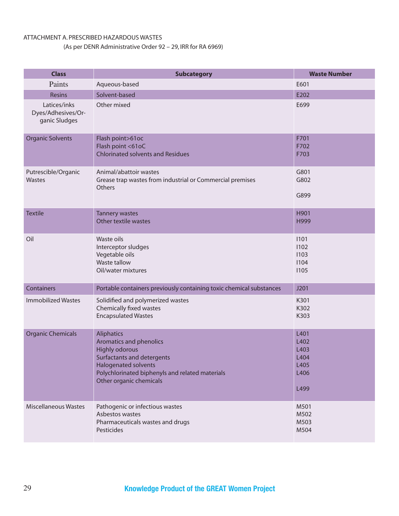#### ATTACHMENT A. PRESCRIBED HAZARDOUS WASTES

#### (As per DENR Administrative Order 92 – 29, IRR for RA 6969)

| <b>Class</b>                                        | <b>Subcategory</b>                                                                                                                                                                                               | <b>Waste Number</b>                                  |  |
|-----------------------------------------------------|------------------------------------------------------------------------------------------------------------------------------------------------------------------------------------------------------------------|------------------------------------------------------|--|
| Paints                                              | Aqueous-based                                                                                                                                                                                                    | E601                                                 |  |
| <b>Resins</b>                                       | Solvent-based                                                                                                                                                                                                    | E202                                                 |  |
| Latices/inks<br>Dyes/Adhesives/Or-<br>ganic Sludges | Other mixed                                                                                                                                                                                                      | E699                                                 |  |
| <b>Organic Solvents</b>                             | Flash point>61oc<br>Flash point <61oC<br><b>Chlorinated solvents and Residues</b>                                                                                                                                | F701<br>F702<br>F703                                 |  |
| Putrescible/Organic<br>Wastes                       | Animal/abattoir wastes<br>Grease trap wastes from industrial or Commercial premises<br>Others                                                                                                                    | G801<br>G802<br>G899                                 |  |
| <b>Textile</b>                                      | <b>Tannery wastes</b><br>Other textile wastes                                                                                                                                                                    | H901<br>H999                                         |  |
| Oil                                                 | Waste oils<br>Interceptor sludges<br>Vegetable oils<br>Waste tallow<br>Oil/water mixtures                                                                                                                        | 1101<br>1102<br>1103<br>1104<br>1105                 |  |
| Containers                                          | Portable containers previously containing toxic chemical substances                                                                                                                                              | J201                                                 |  |
| <b>Immobilized Wastes</b>                           | Solidified and polymerized wastes<br>Chemically fixed wastes<br><b>Encapsulated Wastes</b>                                                                                                                       | K301<br>K302<br>K303                                 |  |
| <b>Organic Chemicals</b>                            | <b>Aliphatics</b><br>Aromatics and phenolics<br><b>Highly odorous</b><br>Surfactants and detergents<br><b>Halogenated solvents</b><br>Polychlorinated biphenyls and related materials<br>Other organic chemicals | L401<br>L402<br>L403<br>L404<br>L405<br>L406<br>L499 |  |
| Miscellaneous Wastes                                | Pathogenic or infectious wastes<br>Asbestos wastes<br>Pharmaceuticals wastes and drugs<br>Pesticides                                                                                                             | M501<br>M502<br>M503<br>M504                         |  |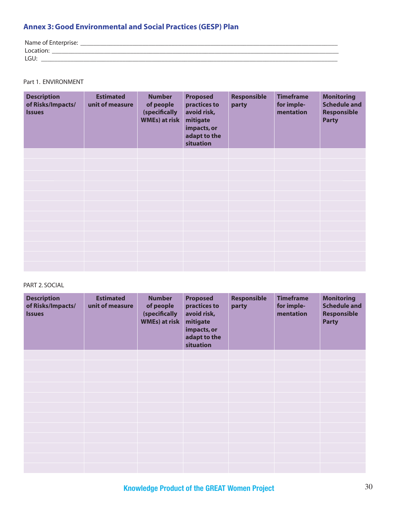#### **Annex 3: Good Environmental and Social Practices (GESP) Plan**

| Name of Enterprise: |
|---------------------|
| ¬u∪lı.              |
| LGU                 |

Part 1. ENVIRONMENT

| <b>Description</b><br>of Risks/Impacts/<br><b>Issues</b> | <b>Estimated</b><br>unit of measure | <b>Number</b><br>of people<br>(specifically<br><b>WMEs) at risk</b> | <b>Proposed</b><br>practices to<br>avoid risk,<br>mitigate<br>impacts, or<br>adapt to the<br>situation | <b>Responsible</b><br>party | <b>Timeframe</b><br>for imple-<br>mentation | <b>Monitoring</b><br><b>Schedule and</b><br><b>Responsible</b><br><b>Party</b> |
|----------------------------------------------------------|-------------------------------------|---------------------------------------------------------------------|--------------------------------------------------------------------------------------------------------|-----------------------------|---------------------------------------------|--------------------------------------------------------------------------------|
|                                                          |                                     |                                                                     |                                                                                                        |                             |                                             |                                                                                |
|                                                          |                                     |                                                                     |                                                                                                        |                             |                                             |                                                                                |
|                                                          |                                     |                                                                     |                                                                                                        |                             |                                             |                                                                                |
|                                                          |                                     |                                                                     |                                                                                                        |                             |                                             |                                                                                |
|                                                          |                                     |                                                                     |                                                                                                        |                             |                                             |                                                                                |
|                                                          |                                     |                                                                     |                                                                                                        |                             |                                             |                                                                                |
|                                                          |                                     |                                                                     |                                                                                                        |                             |                                             |                                                                                |
|                                                          |                                     |                                                                     |                                                                                                        |                             |                                             |                                                                                |
|                                                          |                                     |                                                                     |                                                                                                        |                             |                                             |                                                                                |
|                                                          |                                     |                                                                     |                                                                                                        |                             |                                             |                                                                                |
|                                                          |                                     |                                                                     |                                                                                                        |                             |                                             |                                                                                |
|                                                          |                                     |                                                                     |                                                                                                        |                             |                                             |                                                                                |

#### PART 2. SOCIAL

| <b>Description</b><br>of Risks/Impacts/<br><b>Issues</b> | <b>Estimated</b><br>unit of measure | <b>Number</b><br>of people<br>(specifically<br><b>WMEs) at risk</b> | <b>Proposed</b><br>practices to<br>avoid risk,<br>mitigate<br>impacts, or<br>adapt to the<br>situation | <b>Responsible</b><br>party | <b>Timeframe</b><br>for imple-<br>mentation | <b>Monitoring</b><br><b>Schedule and</b><br><b>Responsible</b><br><b>Party</b> |
|----------------------------------------------------------|-------------------------------------|---------------------------------------------------------------------|--------------------------------------------------------------------------------------------------------|-----------------------------|---------------------------------------------|--------------------------------------------------------------------------------|
|                                                          |                                     |                                                                     |                                                                                                        |                             |                                             |                                                                                |
|                                                          |                                     |                                                                     |                                                                                                        |                             |                                             |                                                                                |
|                                                          |                                     |                                                                     |                                                                                                        |                             |                                             |                                                                                |
|                                                          |                                     |                                                                     |                                                                                                        |                             |                                             |                                                                                |
|                                                          |                                     |                                                                     |                                                                                                        |                             |                                             |                                                                                |
|                                                          |                                     |                                                                     |                                                                                                        |                             |                                             |                                                                                |
|                                                          |                                     |                                                                     |                                                                                                        |                             |                                             |                                                                                |
|                                                          |                                     |                                                                     |                                                                                                        |                             |                                             |                                                                                |
|                                                          |                                     |                                                                     |                                                                                                        |                             |                                             |                                                                                |
|                                                          |                                     |                                                                     |                                                                                                        |                             |                                             |                                                                                |
|                                                          |                                     |                                                                     |                                                                                                        |                             |                                             |                                                                                |
|                                                          |                                     |                                                                     |                                                                                                        |                             |                                             |                                                                                |